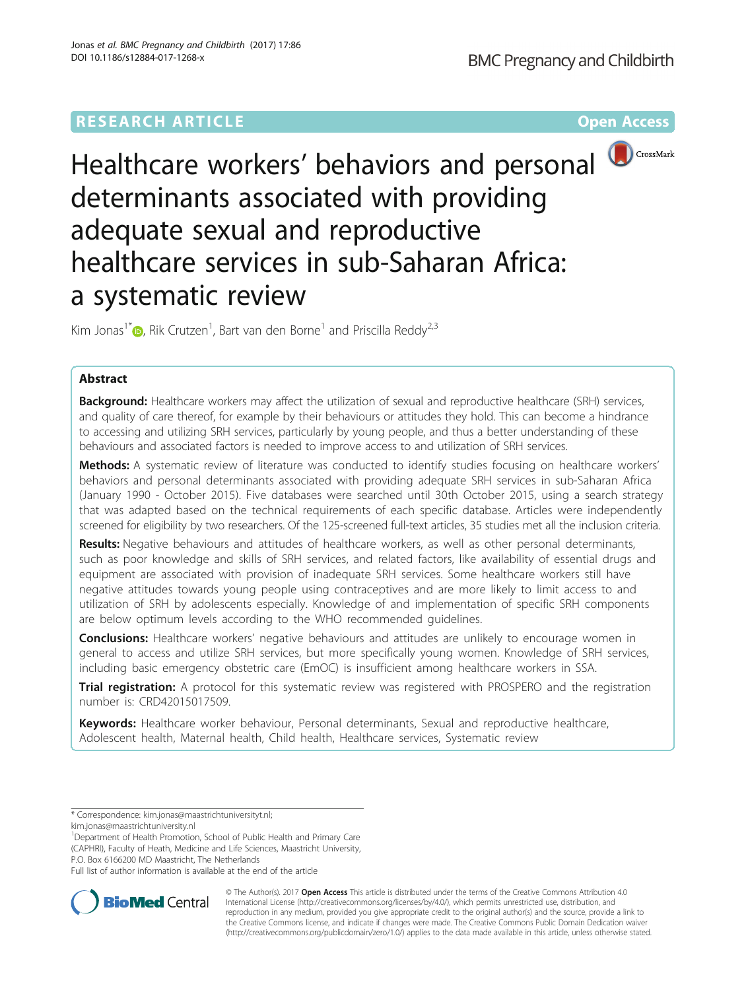## **RESEARCH ARTICLE External Structure Community Community Community Community Community Community Community Community**



# Healthcare workers' behaviors and personal determinants associated with providing adequate sexual and reproductive healthcare services in sub-Saharan Africa: a systematic review

Kim Jonas<sup>1\*</sup>�, Rik Crutzen<sup>1</sup>, Bart van den Borne<sup>1</sup> and Priscilla Reddy<sup>2,3</sup>

## Abstract

Background: Healthcare workers may affect the utilization of sexual and reproductive healthcare (SRH) services, and quality of care thereof, for example by their behaviours or attitudes they hold. This can become a hindrance to accessing and utilizing SRH services, particularly by young people, and thus a better understanding of these behaviours and associated factors is needed to improve access to and utilization of SRH services.

**Methods:** A systematic review of literature was conducted to identify studies focusing on healthcare workers' behaviors and personal determinants associated with providing adequate SRH services in sub-Saharan Africa (January 1990 - October 2015). Five databases were searched until 30th October 2015, using a search strategy that was adapted based on the technical requirements of each specific database. Articles were independently screened for eligibility by two researchers. Of the 125-screened full-text articles, 35 studies met all the inclusion criteria.

Results: Negative behaviours and attitudes of healthcare workers, as well as other personal determinants, such as poor knowledge and skills of SRH services, and related factors, like availability of essential drugs and equipment are associated with provision of inadequate SRH services. Some healthcare workers still have negative attitudes towards young people using contraceptives and are more likely to limit access to and utilization of SRH by adolescents especially. Knowledge of and implementation of specific SRH components are below optimum levels according to the WHO recommended guidelines.

**Conclusions:** Healthcare workers' negative behaviours and attitudes are unlikely to encourage women in general to access and utilize SRH services, but more specifically young women. Knowledge of SRH services, including basic emergency obstetric care (EmOC) is insufficient among healthcare workers in SSA.

**Trial registration:** A protocol for this systematic review was registered with PROSPERO and the registration number is: [CRD42015017509](http://www.crd.york.ac.uk/PROSPERO/display_record.asp?ID=CRD42015017509).

Keywords: Healthcare worker behaviour, Personal determinants, Sexual and reproductive healthcare, Adolescent health, Maternal health, Child health, Healthcare services, Systematic review

<sup>1</sup>Department of Health Promotion, School of Public Health and Primary Care (CAPHRI), Faculty of Heath, Medicine and Life Sciences, Maastricht University, P.O. Box 6166200 MD Maastricht, The Netherlands

Full list of author information is available at the end of the article



© The Author(s). 2017 **Open Access** This article is distributed under the terms of the Creative Commons Attribution 4.0 International License [\(http://creativecommons.org/licenses/by/4.0/](http://creativecommons.org/licenses/by/4.0/)), which permits unrestricted use, distribution, and reproduction in any medium, provided you give appropriate credit to the original author(s) and the source, provide a link to the Creative Commons license, and indicate if changes were made. The Creative Commons Public Domain Dedication waiver [\(http://creativecommons.org/publicdomain/zero/1.0/](http://creativecommons.org/publicdomain/zero/1.0/)) applies to the data made available in this article, unless otherwise stated.

<sup>\*</sup> Correspondence: [kim.jonas@maastrichtuniversityt.nl](mailto:kim.jonas@maastrichtuniversityt.nl);

[kim.jonas@maastrichtuniversity.nl](mailto:kim.jonas@maastrichtuniversity.nl)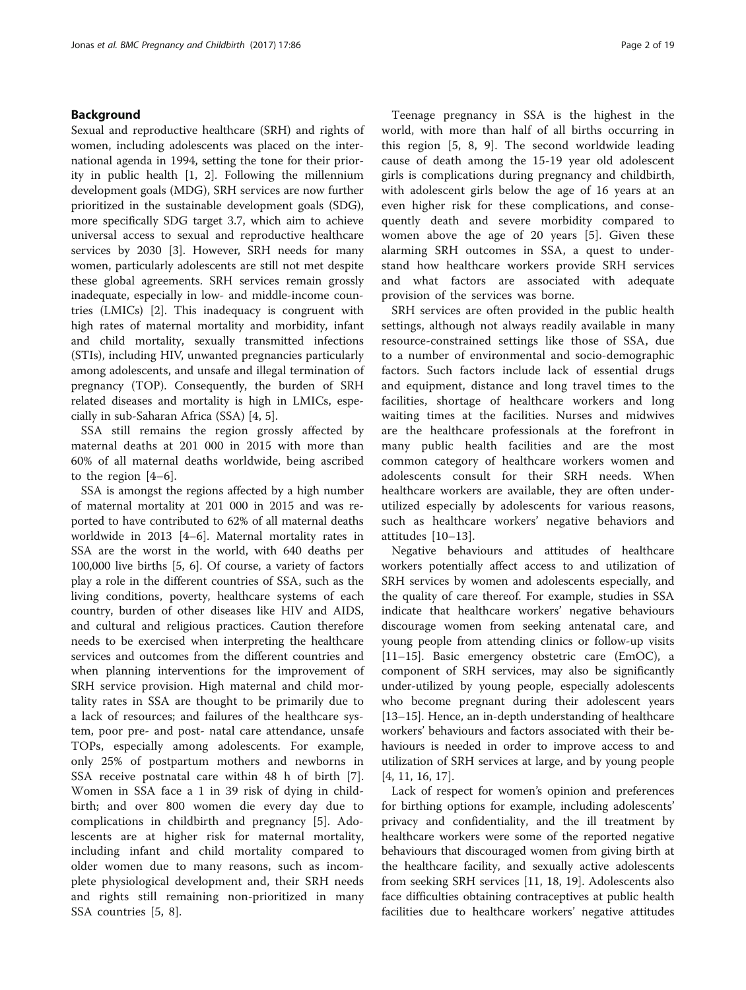## Background

Sexual and reproductive healthcare (SRH) and rights of women, including adolescents was placed on the international agenda in 1994, setting the tone for their priority in public health [[1, 2](#page-16-0)]. Following the millennium development goals (MDG), SRH services are now further prioritized in the sustainable development goals (SDG), more specifically SDG target 3.7, which aim to achieve universal access to sexual and reproductive healthcare services by 2030 [[3\]](#page-16-0). However, SRH needs for many women, particularly adolescents are still not met despite these global agreements. SRH services remain grossly inadequate, especially in low- and middle-income countries (LMICs) [\[2](#page-16-0)]. This inadequacy is congruent with high rates of maternal mortality and morbidity, infant and child mortality, sexually transmitted infections (STIs), including HIV, unwanted pregnancies particularly among adolescents, and unsafe and illegal termination of pregnancy (TOP). Consequently, the burden of SRH related diseases and mortality is high in LMICs, especially in sub-Saharan Africa (SSA) [[4, 5\]](#page-16-0).

SSA still remains the region grossly affected by maternal deaths at 201 000 in 2015 with more than 60% of all maternal deaths worldwide, being ascribed to the region [[4](#page-16-0)–[6\]](#page-16-0).

SSA is amongst the regions affected by a high number of maternal mortality at 201 000 in 2015 and was reported to have contributed to 62% of all maternal deaths worldwide in 2013 [\[4](#page-16-0)–[6\]](#page-16-0). Maternal mortality rates in SSA are the worst in the world, with 640 deaths per 100,000 live births [\[5](#page-16-0), [6](#page-16-0)]. Of course, a variety of factors play a role in the different countries of SSA, such as the living conditions, poverty, healthcare systems of each country, burden of other diseases like HIV and AIDS, and cultural and religious practices. Caution therefore needs to be exercised when interpreting the healthcare services and outcomes from the different countries and when planning interventions for the improvement of SRH service provision. High maternal and child mortality rates in SSA are thought to be primarily due to a lack of resources; and failures of the healthcare system, poor pre- and post- natal care attendance, unsafe TOPs, especially among adolescents. For example, only 25% of postpartum mothers and newborns in SSA receive postnatal care within 48 h of birth [\[7](#page-17-0)]. Women in SSA face a 1 in 39 risk of dying in childbirth; and over 800 women die every day due to complications in childbirth and pregnancy [\[5](#page-16-0)]. Adolescents are at higher risk for maternal mortality, including infant and child mortality compared to older women due to many reasons, such as incomplete physiological development and, their SRH needs and rights still remaining non-prioritized in many SSA countries [[5,](#page-16-0) [8\]](#page-17-0).

Teenage pregnancy in SSA is the highest in the world, with more than half of all births occurring in this region [[5,](#page-16-0) [8, 9\]](#page-17-0). The second worldwide leading cause of death among the 15-19 year old adolescent girls is complications during pregnancy and childbirth, with adolescent girls below the age of 16 years at an even higher risk for these complications, and consequently death and severe morbidity compared to women above the age of 20 years [\[5](#page-16-0)]. Given these alarming SRH outcomes in SSA, a quest to understand how healthcare workers provide SRH services and what factors are associated with adequate provision of the services was borne.

SRH services are often provided in the public health settings, although not always readily available in many resource-constrained settings like those of SSA, due to a number of environmental and socio-demographic factors. Such factors include lack of essential drugs and equipment, distance and long travel times to the facilities, shortage of healthcare workers and long waiting times at the facilities. Nurses and midwives are the healthcare professionals at the forefront in many public health facilities and are the most common category of healthcare workers women and adolescents consult for their SRH needs. When healthcare workers are available, they are often underutilized especially by adolescents for various reasons, such as healthcare workers' negative behaviors and attitudes [[10](#page-17-0)–[13\]](#page-17-0).

Negative behaviours and attitudes of healthcare workers potentially affect access to and utilization of SRH services by women and adolescents especially, and the quality of care thereof. For example, studies in SSA indicate that healthcare workers' negative behaviours discourage women from seeking antenatal care, and young people from attending clinics or follow-up visits [[11](#page-17-0)–[15](#page-17-0)]. Basic emergency obstetric care (EmOC), a component of SRH services, may also be significantly under-utilized by young people, especially adolescents who become pregnant during their adolescent years [[13](#page-17-0)–[15](#page-17-0)]. Hence, an in-depth understanding of healthcare workers' behaviours and factors associated with their behaviours is needed in order to improve access to and utilization of SRH services at large, and by young people [[4,](#page-16-0) [11, 16, 17\]](#page-17-0).

Lack of respect for women's opinion and preferences for birthing options for example, including adolescents' privacy and confidentiality, and the ill treatment by healthcare workers were some of the reported negative behaviours that discouraged women from giving birth at the healthcare facility, and sexually active adolescents from seeking SRH services [\[11](#page-17-0), [18](#page-17-0), [19\]](#page-17-0). Adolescents also face difficulties obtaining contraceptives at public health facilities due to healthcare workers' negative attitudes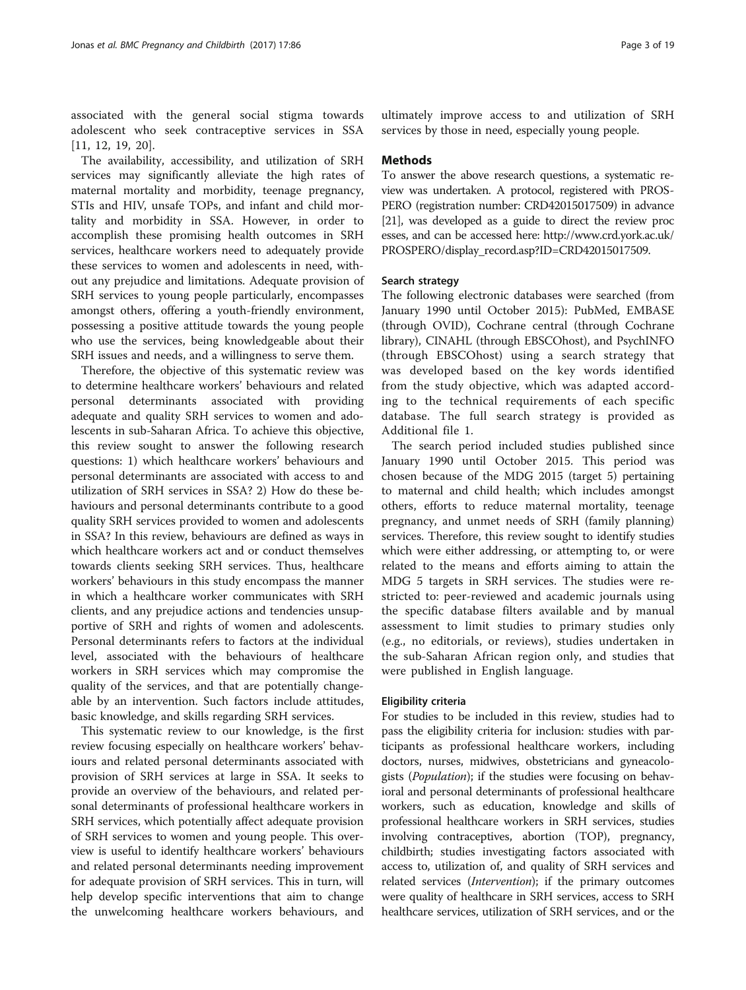associated with the general social stigma towards adolescent who seek contraceptive services in SSA [[11, 12](#page-17-0), [19](#page-17-0), [20](#page-17-0)].

The availability, accessibility, and utilization of SRH services may significantly alleviate the high rates of maternal mortality and morbidity, teenage pregnancy, STIs and HIV, unsafe TOPs, and infant and child mortality and morbidity in SSA. However, in order to accomplish these promising health outcomes in SRH services, healthcare workers need to adequately provide these services to women and adolescents in need, without any prejudice and limitations. Adequate provision of SRH services to young people particularly, encompasses amongst others, offering a youth-friendly environment, possessing a positive attitude towards the young people who use the services, being knowledgeable about their SRH issues and needs, and a willingness to serve them.

Therefore, the objective of this systematic review was to determine healthcare workers' behaviours and related personal determinants associated with providing adequate and quality SRH services to women and adolescents in sub-Saharan Africa. To achieve this objective, this review sought to answer the following research questions: 1) which healthcare workers' behaviours and personal determinants are associated with access to and utilization of SRH services in SSA? 2) How do these behaviours and personal determinants contribute to a good quality SRH services provided to women and adolescents in SSA? In this review, behaviours are defined as ways in which healthcare workers act and or conduct themselves towards clients seeking SRH services. Thus, healthcare workers' behaviours in this study encompass the manner in which a healthcare worker communicates with SRH clients, and any prejudice actions and tendencies unsupportive of SRH and rights of women and adolescents. Personal determinants refers to factors at the individual level, associated with the behaviours of healthcare workers in SRH services which may compromise the quality of the services, and that are potentially changeable by an intervention. Such factors include attitudes, basic knowledge, and skills regarding SRH services.

This systematic review to our knowledge, is the first review focusing especially on healthcare workers' behaviours and related personal determinants associated with provision of SRH services at large in SSA. It seeks to provide an overview of the behaviours, and related personal determinants of professional healthcare workers in SRH services, which potentially affect adequate provision of SRH services to women and young people. This overview is useful to identify healthcare workers' behaviours and related personal determinants needing improvement for adequate provision of SRH services. This in turn, will help develop specific interventions that aim to change the unwelcoming healthcare workers behaviours, and ultimately improve access to and utilization of SRH services by those in need, especially young people.

## Methods

To answer the above research questions, a systematic review was undertaken. A protocol, registered with PROS-PERO (registration number: CRD42015017509) in advance [[21](#page-17-0)], was developed as a guide to direct the review proc esses, and can be accessed here: [http://www.crd.york.ac.uk/](http://www.crd.york.ac.uk/PROSPERO/display_record.asp?ID=CRD42015017509) [PROSPERO/display\\_record.asp?ID=CRD42015017509.](http://www.crd.york.ac.uk/PROSPERO/display_record.asp?ID=CRD42015017509)

#### Search strategy

The following electronic databases were searched (from January 1990 until October 2015): PubMed, EMBASE (through OVID), Cochrane central (through Cochrane library), CINAHL (through EBSCOhost), and PsychINFO (through EBSCOhost) using a search strategy that was developed based on the key words identified from the study objective, which was adapted according to the technical requirements of each specific database. The full search strategy is provided as Additional file [1.](#page-16-0)

The search period included studies published since January 1990 until October 2015. This period was chosen because of the MDG 2015 (target 5) pertaining to maternal and child health; which includes amongst others, efforts to reduce maternal mortality, teenage pregnancy, and unmet needs of SRH (family planning) services. Therefore, this review sought to identify studies which were either addressing, or attempting to, or were related to the means and efforts aiming to attain the MDG 5 targets in SRH services. The studies were restricted to: peer-reviewed and academic journals using the specific database filters available and by manual assessment to limit studies to primary studies only (e.g., no editorials, or reviews), studies undertaken in the sub-Saharan African region only, and studies that were published in English language.

#### Eligibility criteria

For studies to be included in this review, studies had to pass the eligibility criteria for inclusion: studies with participants as professional healthcare workers, including doctors, nurses, midwives, obstetricians and gyneacologists (Population); if the studies were focusing on behavioral and personal determinants of professional healthcare workers, such as education, knowledge and skills of professional healthcare workers in SRH services, studies involving contraceptives, abortion (TOP), pregnancy, childbirth; studies investigating factors associated with access to, utilization of, and quality of SRH services and related services (*Intervention*); if the primary outcomes were quality of healthcare in SRH services, access to SRH healthcare services, utilization of SRH services, and or the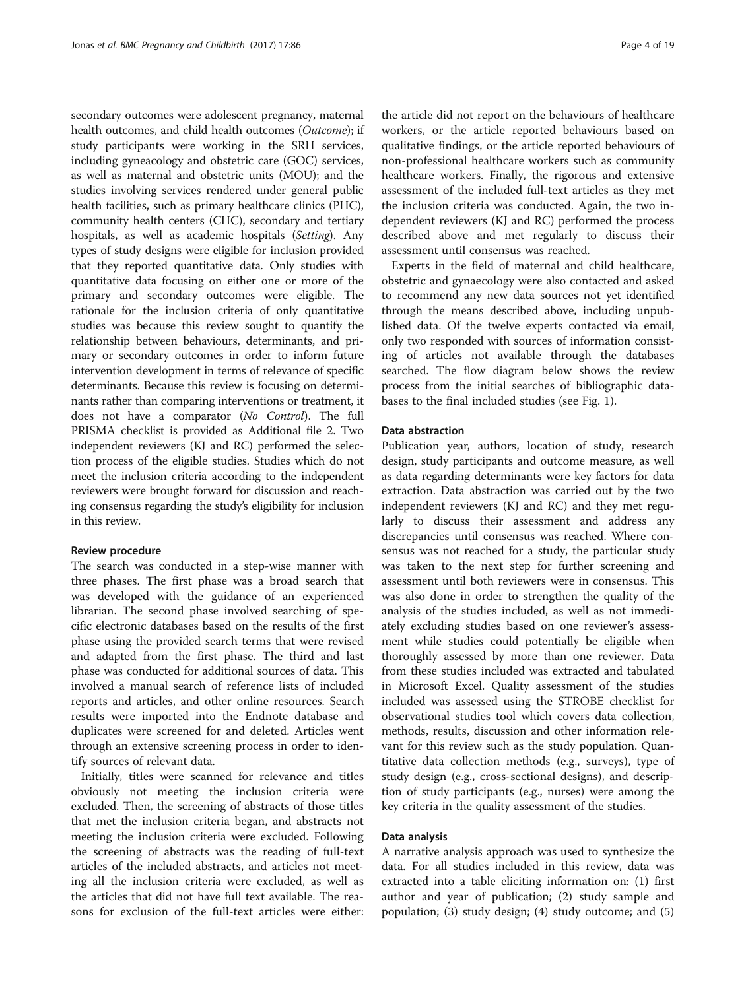secondary outcomes were adolescent pregnancy, maternal health outcomes, and child health outcomes (Outcome); if study participants were working in the SRH services, including gyneacology and obstetric care (GOC) services, as well as maternal and obstetric units (MOU); and the studies involving services rendered under general public health facilities, such as primary healthcare clinics (PHC), community health centers (CHC), secondary and tertiary hospitals, as well as academic hospitals (Setting). Any types of study designs were eligible for inclusion provided that they reported quantitative data. Only studies with quantitative data focusing on either one or more of the primary and secondary outcomes were eligible. The rationale for the inclusion criteria of only quantitative studies was because this review sought to quantify the relationship between behaviours, determinants, and primary or secondary outcomes in order to inform future intervention development in terms of relevance of specific determinants. Because this review is focusing on determinants rather than comparing interventions or treatment, it does not have a comparator (No Control). The full PRISMA checklist is provided as Additional file [2.](#page-16-0) Two independent reviewers (KJ and RC) performed the selection process of the eligible studies. Studies which do not meet the inclusion criteria according to the independent reviewers were brought forward for discussion and reaching consensus regarding the study's eligibility for inclusion in this review.

#### Review procedure

The search was conducted in a step-wise manner with three phases. The first phase was a broad search that was developed with the guidance of an experienced librarian. The second phase involved searching of specific electronic databases based on the results of the first phase using the provided search terms that were revised and adapted from the first phase. The third and last phase was conducted for additional sources of data. This involved a manual search of reference lists of included reports and articles, and other online resources. Search results were imported into the Endnote database and duplicates were screened for and deleted. Articles went through an extensive screening process in order to identify sources of relevant data.

Initially, titles were scanned for relevance and titles obviously not meeting the inclusion criteria were excluded. Then, the screening of abstracts of those titles that met the inclusion criteria began, and abstracts not meeting the inclusion criteria were excluded. Following the screening of abstracts was the reading of full-text articles of the included abstracts, and articles not meeting all the inclusion criteria were excluded, as well as the articles that did not have full text available. The reasons for exclusion of the full-text articles were either:

the article did not report on the behaviours of healthcare workers, or the article reported behaviours based on qualitative findings, or the article reported behaviours of non-professional healthcare workers such as community healthcare workers. Finally, the rigorous and extensive assessment of the included full-text articles as they met the inclusion criteria was conducted. Again, the two independent reviewers (KJ and RC) performed the process described above and met regularly to discuss their assessment until consensus was reached.

Experts in the field of maternal and child healthcare, obstetric and gynaecology were also contacted and asked to recommend any new data sources not yet identified through the means described above, including unpublished data. Of the twelve experts contacted via email, only two responded with sources of information consisting of articles not available through the databases searched. The flow diagram below shows the review process from the initial searches of bibliographic databases to the final included studies (see Fig. [1](#page-4-0)).

## Data abstraction

Publication year, authors, location of study, research design, study participants and outcome measure, as well as data regarding determinants were key factors for data extraction. Data abstraction was carried out by the two independent reviewers (KJ and RC) and they met regularly to discuss their assessment and address any discrepancies until consensus was reached. Where consensus was not reached for a study, the particular study was taken to the next step for further screening and assessment until both reviewers were in consensus. This was also done in order to strengthen the quality of the analysis of the studies included, as well as not immediately excluding studies based on one reviewer's assessment while studies could potentially be eligible when thoroughly assessed by more than one reviewer. Data from these studies included was extracted and tabulated in Microsoft Excel. Quality assessment of the studies included was assessed using the STROBE checklist for observational studies tool which covers data collection, methods, results, discussion and other information relevant for this review such as the study population. Quantitative data collection methods (e.g., surveys), type of study design (e.g., cross-sectional designs), and description of study participants (e.g., nurses) were among the key criteria in the quality assessment of the studies.

## Data analysis

A narrative analysis approach was used to synthesize the data. For all studies included in this review, data was extracted into a table eliciting information on: (1) first author and year of publication; (2) study sample and population; (3) study design; (4) study outcome; and (5)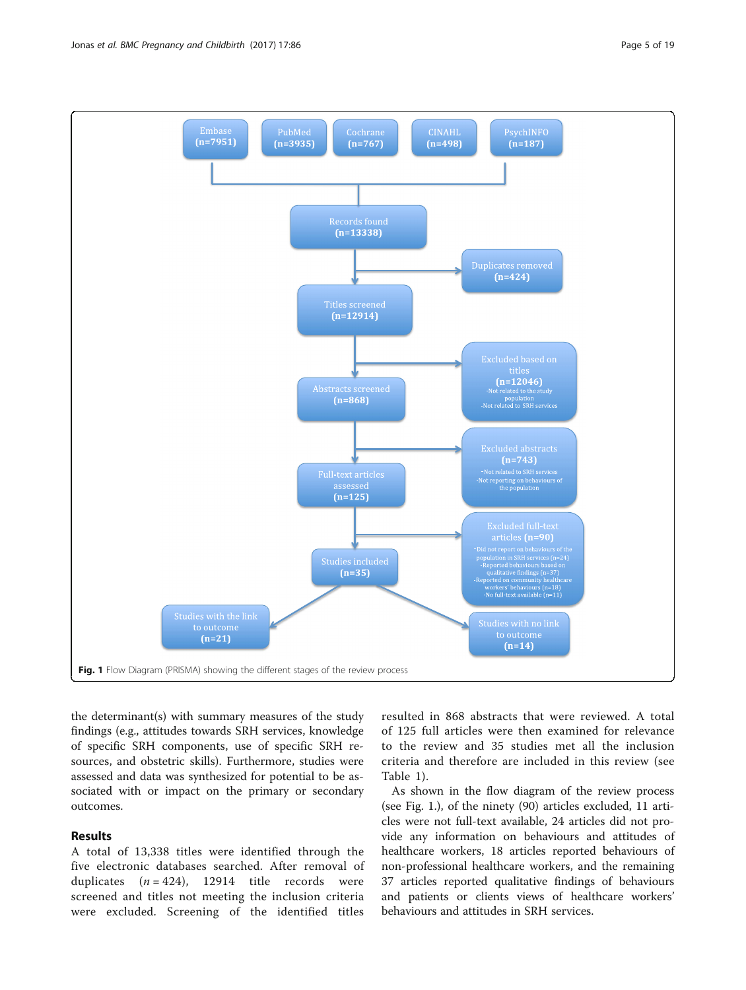<span id="page-4-0"></span>

the determinant(s) with summary measures of the study findings (e.g., attitudes towards SRH services, knowledge of specific SRH components, use of specific SRH resources, and obstetric skills). Furthermore, studies were assessed and data was synthesized for potential to be associated with or impact on the primary or secondary outcomes.

## Results

A total of 13,338 titles were identified through the five electronic databases searched. After removal of duplicates  $(n = 424)$ , 12914 title records were screened and titles not meeting the inclusion criteria were excluded. Screening of the identified titles

resulted in 868 abstracts that were reviewed. A total of 125 full articles were then examined for relevance to the review and 35 studies met all the inclusion criteria and therefore are included in this review (see Table [1\)](#page-5-0).

As shown in the flow diagram of the review process (see Fig. 1.), of the ninety (90) articles excluded, 11 articles were not full-text available, 24 articles did not provide any information on behaviours and attitudes of healthcare workers, 18 articles reported behaviours of non-professional healthcare workers, and the remaining 37 articles reported qualitative findings of behaviours and patients or clients views of healthcare workers' behaviours and attitudes in SRH services.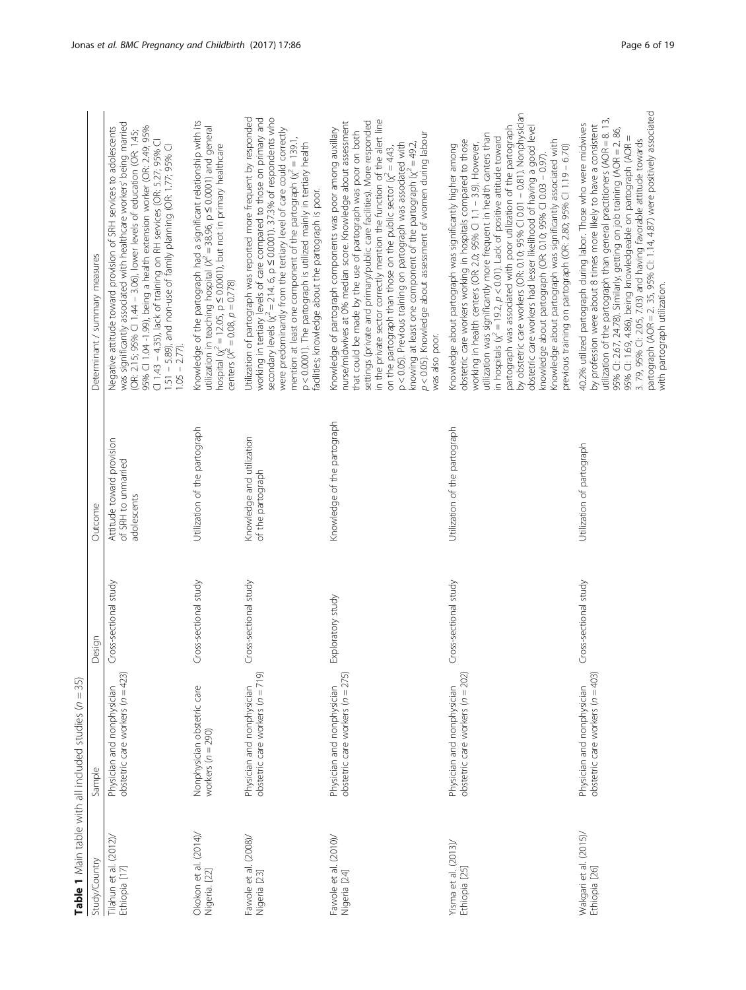<span id="page-5-0"></span>

|                                         | ך<br>ה<br><b>The DISTRIBUTION CONTINUES IN THE SECTION CONTINUES.</b> |                       |                                                                 |                                                                                                                                                                                                                                                                                                                                                                                                                                                                                                                                                                                                                                                                                                                                                                            |
|-----------------------------------------|-----------------------------------------------------------------------|-----------------------|-----------------------------------------------------------------|----------------------------------------------------------------------------------------------------------------------------------------------------------------------------------------------------------------------------------------------------------------------------------------------------------------------------------------------------------------------------------------------------------------------------------------------------------------------------------------------------------------------------------------------------------------------------------------------------------------------------------------------------------------------------------------------------------------------------------------------------------------------------|
| Study/Country                           | Sample                                                                | Design                | Outcome                                                         | Determinant / summary measures                                                                                                                                                                                                                                                                                                                                                                                                                                                                                                                                                                                                                                                                                                                                             |
| Tilahun et al. (2012)/<br>Ethiopia [17] | obstetric care workers $(n = 423)$<br>Physician and nonphysician      | Cross-sectional study | Attitude toward provision<br>of SRH to unmarried<br>adolescents | was significantly associated with healthcare workers' being married<br>95% Cl 1.04 -1.99), being a health extension worker (OR: 2.49; 95%<br>Negative attitude toward provision of SRH services to adolescents<br>(OR: 2.15; 95% CI 1.44 - 3.06), lower levels of education (OR: 1.45;<br>Cl 1.43 – 4.35), lack of training on RH services (OR: 5.27; 95% Cl<br>1.51 – 5.89), and non-use of family planning (OR: 1.77; 95% Cl<br>$1.05 - 2.77$ .                                                                                                                                                                                                                                                                                                                          |
| Okokon et al. (2014)/<br>Nigeria. [22]  | Nonphysician obstetric care<br>workers $(n = 290)$                    | Cross-sectional study | Utilization of the partograph                                   | Knowledge of the partograph had a significant relationship with its<br>utilization in teaching hospital $(x^2 = 38.96, p \le 0.0001)$ and general<br>hospital $(x^2 = 12.05, p \le 0.0001)$ , but not in primary healthcare<br>centers ( $x^2 = 0.08$ , $p = 0.778$ )                                                                                                                                                                                                                                                                                                                                                                                                                                                                                                      |
| Fawole et al. (2008)/<br>Nigeria [23]   | obstetric care workers (n = 719)<br>Physician and nonphysician        | Cross-sectional study | Knowledge and utilization<br>of the partograph                  | Utilization of partograph was reported more frequent by responded<br>working in tertiary levels of care compared to those on primary and<br>secondary levels $(\chi^2 = 214.6, p \le 0.0001)$ . 37.3% of respondents who<br>were predominantly from the tertiary level of care could correctly<br>mention at least one component of the partograph $\chi^2 = 139.1$ ,<br>p < 0.0001). The partograph is utilized mainly in tertiary health<br>facilities; knowledge about the partograph is poor.                                                                                                                                                                                                                                                                          |
| Fawole et al. (2010)/<br>Nigeria [24]   | obstetric care workers (n = 275)<br>Physician and nonphysician        | Exploratory study     | Knowledge of the partograph                                     | in the private sector correctly mention the function of the alert line<br>nurse/midwives at 0% median score. Knowledge about assessment<br>settings (private and primary/public care facilities). More responded<br>Knowledge of partograph components was poor among auxillary<br>that could be made by the use of partograph was poor on both<br>p < 0.05). Knowledge about assessment of women during labour<br>p < 0.05). Previous training on partograph was associated with<br>knowing at least one component of the partograph $(x' = 49.2,$<br>on the partograph than those on the public sector $(\chi^2 = 4.43,$<br>was also poor.                                                                                                                               |
| Yisma et al. (2013)/<br>Ethiopia [25]   | obstetric care workers (n = 202)<br>Physician and nonphysician        | Cross-sectional study | Utilization of the partograph                                   | by obstetric care workers (OR: 0.10; 95% CI 0.01 - 0.81). Nonphysician<br>partograph was associated with poor utilization of the partograph<br>obstetric care workers had lesser likelihood of having a good level<br>utilization was significantly more frequent in health canters than<br>in hospitals $\chi^2 = 19.2$ , $p < 0.01$ ). Lack of positive attitude toward<br>obstetric care workers working in hospitals compared to those<br>working in health centers (OR: 2.0; 95% Cl 1.1 – 3.9). However,<br>Knowledge about partograph was significantly associated with<br>Knowledge about partograph was significantly higher among<br>previous training on partograph (OR: 2.80; 95% Cl 1.19 - 6.70)<br>knowledge about partograph (OR: 0.10; 95% Cl 0.03 - 0.97). |
| Wakqari et al. (2015)/<br>Ethiopia [26] | obstetric care workers ( $n = 403$ )<br>Physician and nonphysician    | Cross-sectional study | Utilization of partograph                                       | partograph (AOR = 2.35, 95% CI: 1.14, 4.87) were positively associated<br>utilization of the partograph than general practitioners (AOR = 8.13,<br>40.2% utilized partograph during labor. Those who were midwives<br>by profession were about 8 times more likely to have a consistent<br>95% Cl: 2.67, 24.78). Similarly, getting on job training (AOR = 2.86,<br>95% Cl: 1.69, 4.86), being knowledgeable on partograph (AOR=<br>3. 79, 95% Cl: 2.05, 7.03) and having favorable attitude towards<br>with partograph utilization.                                                                                                                                                                                                                                       |

**Table 1** Main table with all included studies  $(n = 35)$ **Table 1** Main table with all included studies ( $n = 35$ )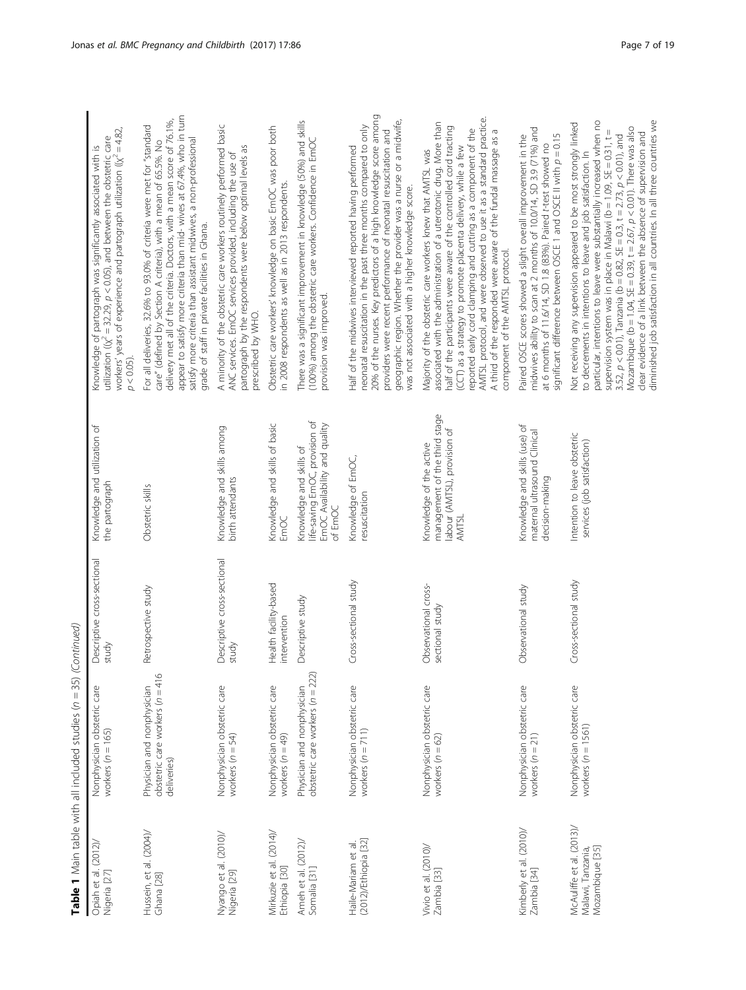| Opiah et al. (2012),<br>Nigeria [27]                             | Nonphysician obstetric care<br>workers $(n = 165)$                           | Descriptive cross-sectional<br>study    | Knowledge and utilization of<br>the partograph                                                           | workers' years of experience and partograph utilization ( $\chi^2$ = 4.82,<br>utilization ( $(x^2 = 32.29$ , $p < 0.05$ ), and between the obstetric care<br>Knowledge of partograph was significantly associated with is<br>$p < 0.05$ ).                                                                                                                                                                                                                                                                                                                                                     |
|------------------------------------------------------------------|------------------------------------------------------------------------------|-----------------------------------------|----------------------------------------------------------------------------------------------------------|------------------------------------------------------------------------------------------------------------------------------------------------------------------------------------------------------------------------------------------------------------------------------------------------------------------------------------------------------------------------------------------------------------------------------------------------------------------------------------------------------------------------------------------------------------------------------------------------|
| Hussein, et al. (2004)/<br>Ghana [28]                            | obstetric care workers (n = 416<br>Physician and nonphysician<br>deliveries) | Retrospective study                     | Obstetric skills                                                                                         | appear to satisfy more criteria than mid- wives at 67.4%, who in turn<br>delivery met all of the criteria. Doctors, with a mean score of 76.1%,<br>For all deliveries, 32.6% to 93.0% of criteria were met for "standard<br>satisfy more criteria than assistant midwives, a non-professional<br>care" (defined by Section A criteria), with a mean of 65.5%. No<br>grade of staff in private facilities in Ghana.                                                                                                                                                                             |
| Nyango et al. (2010)/<br>Nigeria [29]                            | Nonphysician obstetric care<br>workers $(n = 54)$                            | Descriptive cross-sectional<br>study    | Knowledge and skills among<br>birth attendants                                                           | A minority of the obstetric care workers routinely performed basic<br>partograph by the respondents were below optimal levels as<br>ANC services. EmOC services provided, including the use of<br>prescribed by WHO.                                                                                                                                                                                                                                                                                                                                                                           |
| Mirkuzie et al. (2014)/<br>Ethiopia [30]                         | Nonphysician obstetric care<br>workers $(n = 49)$                            | Health facility-based<br>intervention   | Knowledge and skills of basic<br>EmOC                                                                    | Obstetric care workers' knowledge on basic EmOC was poor both<br>in 2008 respondents as well as in 2013 respondents.                                                                                                                                                                                                                                                                                                                                                                                                                                                                           |
| Ameh et al. (2012)<br>Somalia [31]                               | obstetric care workers (n = 222)<br>Physician and nonphysician               | Descriptive study                       | life-saving EmOC, provision of<br>EmOC Availability and quality<br>Knowledge and skills of<br>of EmOC    | There was a significant improvement in knowledge (50%) and skills<br>(100%) among the obstetric care workers. Confidence in EmOC<br>provision was improved.                                                                                                                                                                                                                                                                                                                                                                                                                                    |
| (2012)/Ethiopia [32]<br>Haile-Mariam et al                       | Nonphysician obstetric care<br>workers $(n = 711)$                           | Cross-sectional study                   | Knowledge of EmOC,<br>resuscitation                                                                      | 20% of the nurses. Key predictors of a high knowledge score among<br>geographic region. Whether the provider was a nurse or a midwife,<br>neonatal resuscitation in the past three months compared to only<br>providers were recent performance of neonatal resuscitation and<br>Half of the midwives interviewed reported having performed<br>was not associated with a higher knowledge score.                                                                                                                                                                                               |
| Vivio et al. (2010)/<br>Zambia [33]                              | Nonphysician obstetric care<br>workers $(n = 62)$                            | Observational cross-<br>sectional study | management of the third stage<br>labour (AMTSL), provision of<br>Knowledge of the active<br><b>AMTSL</b> | AMTSL protocol, and were observed to use it as a standard practice.<br>associated with the administration of a uterotonic drug. More than<br>half of the participants were aware of the controlled cord tracting<br>reported early cord clamping and cutting as a component of the<br>A third of the responded were aware of the fundal massage as a<br>(CCT) as a strategy to promote placenta delivery, while a few<br>Majority of the obstetric care workers knew that AMTSL was<br>component of the AMTSL protocol.                                                                        |
| Kimberly et al. (2010)/<br>Zambia [34]                           | Nonphysician obstetric care<br>workers $(n = 21)$                            | Observational study                     | Knowledge and skills (use) of<br>maternal ultrasound Clinical<br>decision-making                         | midwives ability to scan at 2 months of 10.0/14, SD 3.9 (71%) and<br>significant difference between OSCE 1 and OSCE II with $p = 0.15$<br>Paired OSCE scores showed a slight overall improvement in the<br>at 6 months of 11.6/14, SD 1.8 (83%). Paired t-test showed no                                                                                                                                                                                                                                                                                                                       |
| McAuliffe et al. (2013)/<br>Mozambique [35]<br>Malawi, Tanzania, | Nonphysician obstetric care<br>workers $(n = 1561)$                          | Cross-sectional study                   | Intention to leave obstetric<br>services (job satisfaction)                                              | diminished job satisfaction in all countries. In all three countries we<br>particular, intentions to leave were substantially increased when no<br>Not receiving any supervision appeared to be most strongly linked<br>Mozambique (b = 1.04, SE = 0.39, t = $2.67$ , $p < 0.01$ ). There was also<br>supervision system was in place in Malawi (b = 1.09, SE = 0.31, t =<br>clear evidence of a link between the absence of supervision and<br>3.52, $p < 0.01$ ), Tanzania (b = 0.82, SE = 0.3, t = 2.73, $p < 0.01$ ), and<br>to decrements in intentions to leave and job satisfaction. In |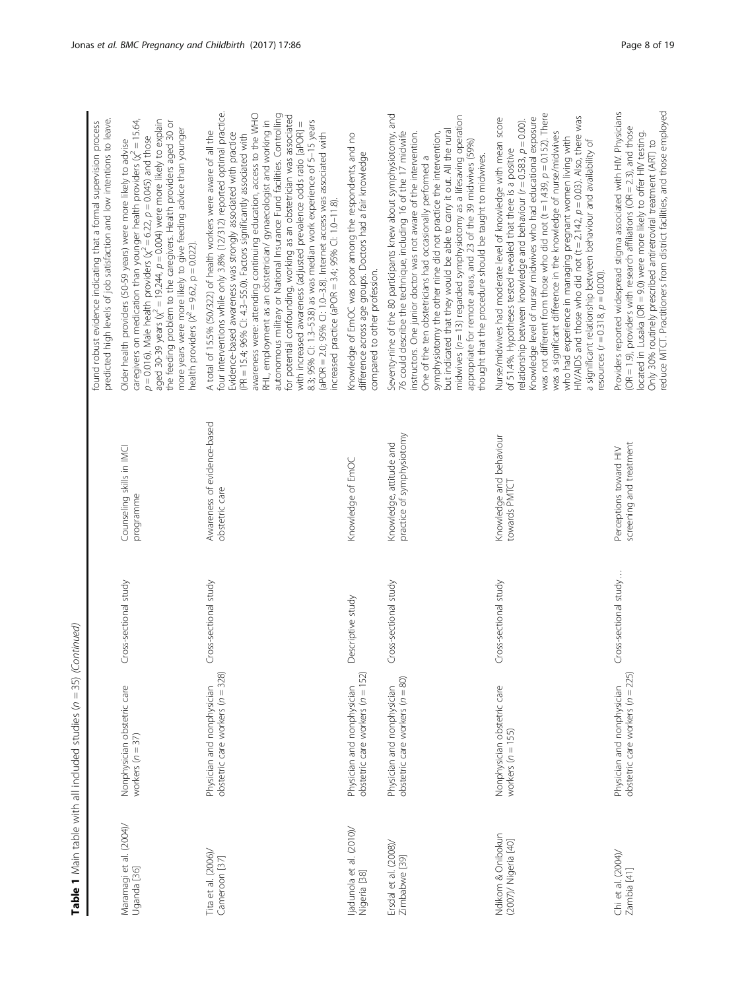|                                           |                                                                 |                       |                                                      | predicted high levels of job satisfaction and low intentions to leave.<br>found robust evidence indicating that a formal supervision process                                                                                                                                                                                                                                                                                                                                                                                                                                                                                                                                                                                                                                                                                                            |
|-------------------------------------------|-----------------------------------------------------------------|-----------------------|------------------------------------------------------|---------------------------------------------------------------------------------------------------------------------------------------------------------------------------------------------------------------------------------------------------------------------------------------------------------------------------------------------------------------------------------------------------------------------------------------------------------------------------------------------------------------------------------------------------------------------------------------------------------------------------------------------------------------------------------------------------------------------------------------------------------------------------------------------------------------------------------------------------------|
| Maramagi et al. (2004)/<br>Uganda [36]    | Nonphysician obstetric care<br>workers $(n = 37)$               | Cross-sectional study | Counseling skills in IMCI<br>programme               | caregivers on medication than younger health providers $(\chi^2 = 15.64,$<br>aged 30-39 years ( $\chi^2$ = 19.244, $p$ = 0.004) were more likely to explain<br>the feeding problem to the caregivers. Health providers aged 30 or<br>more years were more likely to give feeding advice than younger<br>$p = 0.016$ ). Male health providers ( $\chi^2 = 6.22$ , $p = 0.045$ ) and those<br>Older health providers (50-59 years) were more likely to advise<br>health providers ( $X^2 = 9.62$ , p = 0.022).                                                                                                                                                                                                                                                                                                                                            |
| Tita et al. (2006)/<br>Cameroon [37]      | obstetric care workers (n = 328)<br>Physician and nonphysician  | Cross-sectional study | Awareness of evidence-based<br>obstetric care        | four interventions while only 3.8% (12/312) reported optimal practice.<br>autonomous military or National Insurance Fund facilities. Controlling<br>awareness were: attending continuing education, access to the WHO<br>for potential confounding, working as an obstetrician was associated<br>RHL, employment as an obstetrician/ gynaecologist and working in<br>8.3; 95% Cl: 1.3-53.8) as was median work experience of 5-15 years<br>with increased awareness (adjusted prevalence odds ratio [aPOR] =<br>A total of 15.5% (50/322) of health workers were aware of all the<br>Evidence-based awareness was strongly associated with practice<br>(aPOR = 2.0; 95% CI: 1.0-3.8). Internet access was associated with<br>(PR = 15.4; 96% CI: 4.3-55.0). Factors significantly associated with<br>increased practice (aPOR = 3.4; 95% CI: 1.0-11.8). |
| ljadunola et al. (2010)/<br>Nigeria [38]  | obstetric care workers (n = 152)<br>Physician and nonphysician  | Descriptive study     | Knowledge of EmOC                                    | Knowledge of EmOC was poor among the respondents, and no<br>difference across age groups. Doctors had a fair knowledge<br>compared to other profession.                                                                                                                                                                                                                                                                                                                                                                                                                                                                                                                                                                                                                                                                                                 |
| Ersdal et al. (2008)/<br>Zimbabwe [39]    | obstetric care workers $(n = 80)$<br>Physician and nonphysician | Cross-sectional study | practice of symphysiotomy<br>Knowledge, attitude and | Seventy-nine of the 80 participants knew about symphysiotomy, and<br>midwives (n = 13) regarded symphysiotomy as a lifesaving operation<br>but indicated that they would be able to carry it out. All the rural<br>76 could describe the technique, including 16 of the 17 midwife<br>instructors. One junior doctor was not aware of the intervention.<br>symphysiotomy the other nine did not practice the intervention,<br>appropriate for remote areas, and 23 of the 39 midwives (59%)<br>thought that the procedure should be taught to midwives.<br>One of the ten obstetricians had occasionally performed a                                                                                                                                                                                                                                    |
| Ndikom & Onibokun<br>(2007)/ Nigeria [40] | Nonphysician obstetric care<br>workers $(n = 155)$              | Cross-sectional study | Knowledge and behaviour<br>towards PMTCT             | was not different from those who did not $(t = 1.439, p = 0.152)$ . There<br>HIV/AIDS and those who did not $(t = 2.142, p = 0.03)$ . Also, there was<br>Knowledge level of nurse/ midwives who had educational exposure<br>Nurse/midwives had moderate level of knowledge with mean score<br>relationship between knowledge and behaviour $(r = 0.583, p = 0.00)$ .<br>was a significant difference in the knowledge of nurse/midwives<br>who had experience in managing pregnant women living with<br>a significant relationship between behaviour and availability of<br>of 51.4%. Hypotheses tested revealed that there is a positive<br>resources ( $r = 0.318$ , $p = 0.000$ ).                                                                                                                                                                   |
| Chi et al. (2004)/<br>Zambia [41]         | obstetric care workers (n = 225)<br>Physician and nonphysician  | Cross-sectional study | screening and treatment<br>Perceptions toward HIV    | reduce MTCT. Practitioners from district facilities, and those employed<br>Providers reported widespread stigma associated with HIV. Physicians<br>(OR = 1.9), providers with research affiliations (OR = 2.3), and those<br>located in Lusaka (OR = 9.0) were more likely to offer HIV testing.<br>Only 30% routinely prescribed antiretroviral treatment (ART) to                                                                                                                                                                                                                                                                                                                                                                                                                                                                                     |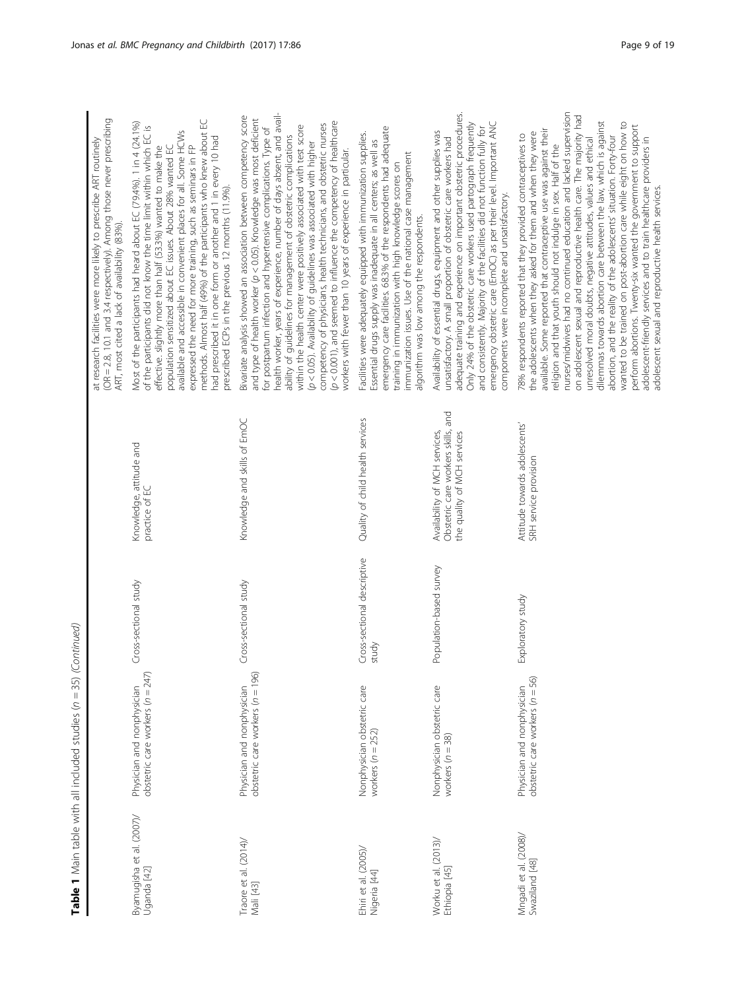| (OR = 2.8, 10.1 and 3.4 respectively). Among those never prescribing<br>at research facilities were more likely to prescribe ART routinely<br>ART, most cited a lack of availability (83%). | methods. Almost half (49%) of the participants who knew about EC<br>Most of the participants had heard about EC (79.4%). 1 in 4 (24.1%)<br>of the participants did not know the time limit within which EC is<br>available and accessible in convenient places for all. Some HCWs<br>had prescribed it in one form or another and 1 in every 10 had<br>expressed the need for more training, such as seminars in FP<br>population sensitized about EC issues. About 28% wanted EC<br>effective. slightly more than half (53.3%) wanted to make the<br>prescribed ECPs in the previous 12 months (11.9%).<br>Knowledge, attitude and<br>practice of EC | Bivariate analysis showed an association between competency score<br>health worker, years of experience, number of days absent, and avail-<br>and type of health worker (p < 0.05). Knowledge was most deficient<br>$(p < 0.001)$ , and seemed to influence the competency of healthcare<br>competency of physicians, health technicians, and obstetric nurses<br>within the health center were positively associated with test score<br>for postpartum infection and hypertensive complications. Type of<br>ability of guidelines for management of obstetric complications<br>$(p < 0.05)$ . Availability of guidelines was associated with higher<br>workers with fewer than 10 years of experience in particular.<br>Knowledge and skills of EmOC | emergency care facilities. 68.3% of the respondents had adequate<br>Facilities were adequately equipped with immunization supplies.<br>Essential drugs supply was inadequate in all centers; as well as<br>immunization issues. Use of the national case management<br>training in immunization with high knowledge scores on<br>algorithm was low among the respondents.<br>Quality of child health services | adequate training and experience on important obstetric procedures.<br>emergency obstetric care (EmOC) as per their level. Important ANC<br>Only 24% of the obstetric care workers used partograph frequently<br>and consistently. Majority of the facilities did not function fully for<br>Availability of essential drugs, equipment and other supplies was<br>unsatisfactory. A small proportion of obstetric care workers had<br>components were incomplete and unsatisfactory.<br>Obstetric care workers skills, and<br>Availability of MCH services,<br>the quality of MCH services | nurses/midwives had no continued education and lacked supervision<br>on adolescent sexual and reproductive health care. The majority had<br>dilemmas towards abortion care between the law, which is against<br>wanted to be trained on post-abortion care while eight on how to<br>perform abortions. Twenty-six wanted the government to support<br>available. Some reported that contraceptive use was against their<br>the adolescents when they asked for them and when they were<br>abortion, and the reality of the adolescents' situation. Forty-four<br>78% respondents reported that they provided contraceptives to<br>adolescent-friendly services and to train healthcare providers in<br>unresolved moral doubts, negative attitudes, values and ethical<br>religion and that youth should not indulge in sex. Half of the<br>adolescent sexual and reproductive health services.<br>Attitude towards adolescents'<br>SRH service provision |
|---------------------------------------------------------------------------------------------------------------------------------------------------------------------------------------------|-------------------------------------------------------------------------------------------------------------------------------------------------------------------------------------------------------------------------------------------------------------------------------------------------------------------------------------------------------------------------------------------------------------------------------------------------------------------------------------------------------------------------------------------------------------------------------------------------------------------------------------------------------|-------------------------------------------------------------------------------------------------------------------------------------------------------------------------------------------------------------------------------------------------------------------------------------------------------------------------------------------------------------------------------------------------------------------------------------------------------------------------------------------------------------------------------------------------------------------------------------------------------------------------------------------------------------------------------------------------------------------------------------------------------|---------------------------------------------------------------------------------------------------------------------------------------------------------------------------------------------------------------------------------------------------------------------------------------------------------------------------------------------------------------------------------------------------------------|-------------------------------------------------------------------------------------------------------------------------------------------------------------------------------------------------------------------------------------------------------------------------------------------------------------------------------------------------------------------------------------------------------------------------------------------------------------------------------------------------------------------------------------------------------------------------------------------|-----------------------------------------------------------------------------------------------------------------------------------------------------------------------------------------------------------------------------------------------------------------------------------------------------------------------------------------------------------------------------------------------------------------------------------------------------------------------------------------------------------------------------------------------------------------------------------------------------------------------------------------------------------------------------------------------------------------------------------------------------------------------------------------------------------------------------------------------------------------------------------------------------------------------------------------------------------|
|                                                                                                                                                                                             | Cross-sectional study                                                                                                                                                                                                                                                                                                                                                                                                                                                                                                                                                                                                                                 | Cross-sectional study                                                                                                                                                                                                                                                                                                                                                                                                                                                                                                                                                                                                                                                                                                                                 | Cross-sectional descriptive<br>study                                                                                                                                                                                                                                                                                                                                                                          | Population-based survey                                                                                                                                                                                                                                                                                                                                                                                                                                                                                                                                                                   | Exploratory study                                                                                                                                                                                                                                                                                                                                                                                                                                                                                                                                                                                                                                                                                                                                                                                                                                                                                                                                         |
|                                                                                                                                                                                             | obstetric care workers (n = 247)                                                                                                                                                                                                                                                                                                                                                                                                                                                                                                                                                                                                                      | obstetric care workers (n = 196)                                                                                                                                                                                                                                                                                                                                                                                                                                                                                                                                                                                                                                                                                                                      | Nonphysician obstetric care                                                                                                                                                                                                                                                                                                                                                                                   | Nonphysician obstetric care                                                                                                                                                                                                                                                                                                                                                                                                                                                                                                                                                               | obstetric care workers ( $n = 56$ )                                                                                                                                                                                                                                                                                                                                                                                                                                                                                                                                                                                                                                                                                                                                                                                                                                                                                                                       |
|                                                                                                                                                                                             | Physician and nonphysician                                                                                                                                                                                                                                                                                                                                                                                                                                                                                                                                                                                                                            | Physician and nonphysician                                                                                                                                                                                                                                                                                                                                                                                                                                                                                                                                                                                                                                                                                                                            | workers $(n = 252)$                                                                                                                                                                                                                                                                                                                                                                                           | workers $(n = 38)$                                                                                                                                                                                                                                                                                                                                                                                                                                                                                                                                                                        | Physician and nonphysician                                                                                                                                                                                                                                                                                                                                                                                                                                                                                                                                                                                                                                                                                                                                                                                                                                                                                                                                |
|                                                                                                                                                                                             | Byamugisha et al. (2007)/                                                                                                                                                                                                                                                                                                                                                                                                                                                                                                                                                                                                                             | Traore et al. $(2014)$                                                                                                                                                                                                                                                                                                                                                                                                                                                                                                                                                                                                                                                                                                                                | Ehiri et al. (2005),                                                                                                                                                                                                                                                                                                                                                                                          | Worku et al. (2013),                                                                                                                                                                                                                                                                                                                                                                                                                                                                                                                                                                      | Mngadi et al. (2008)/                                                                                                                                                                                                                                                                                                                                                                                                                                                                                                                                                                                                                                                                                                                                                                                                                                                                                                                                     |
|                                                                                                                                                                                             | Uganda [42]                                                                                                                                                                                                                                                                                                                                                                                                                                                                                                                                                                                                                                           | Mali [43]                                                                                                                                                                                                                                                                                                                                                                                                                                                                                                                                                                                                                                                                                                                                             | Nigeria [44]                                                                                                                                                                                                                                                                                                                                                                                                  | Ethiopia [45]                                                                                                                                                                                                                                                                                                                                                                                                                                                                                                                                                                             | Swaziland [48]                                                                                                                                                                                                                                                                                                                                                                                                                                                                                                                                                                                                                                                                                                                                                                                                                                                                                                                                            |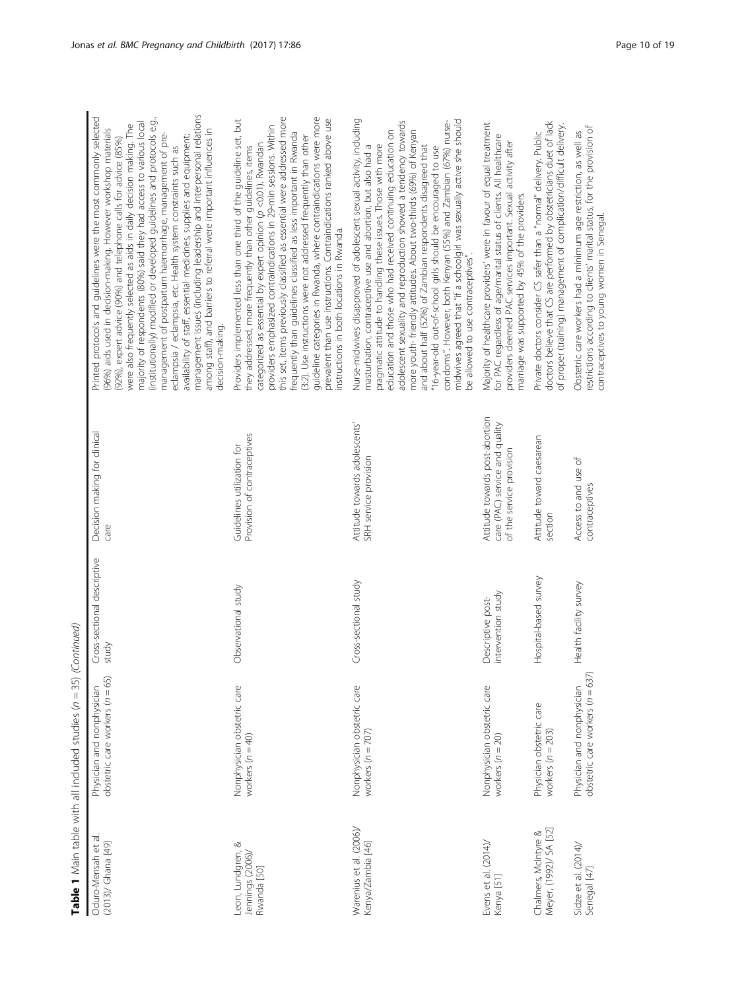| Oduro-Mensah et al.<br>(2013)/ Ghana [49]            | obstetric care workers $(n = 65)$<br>Physician and nonphysician  | Cross-sectional descriptive<br>study    | Decision making for clinical<br>care                                                         | management issues (including leadership and interpersonal relations<br>Printed protocols and guidelines were the most commonly selected<br>(institutionally) modified or developed guidelines and protocols e.g.,<br>majority of respondents (80%) said they had access to various local<br>were also frequently selected as aids in daily decision making. The<br>among staff), and barriers to referral were important influences in<br>(96%) aids used in decision-making. However workshop materials<br>management of postpartum haemorrhage, management of pre-<br>availability of staff, essential medicines, supplies and equipment;<br>(92%), expert advice (90%) and telephone calls for advice (85%)<br>eclampsia / eclampsia, etc. Health system constraints such as<br>decision-making. |
|------------------------------------------------------|------------------------------------------------------------------|-----------------------------------------|----------------------------------------------------------------------------------------------|-----------------------------------------------------------------------------------------------------------------------------------------------------------------------------------------------------------------------------------------------------------------------------------------------------------------------------------------------------------------------------------------------------------------------------------------------------------------------------------------------------------------------------------------------------------------------------------------------------------------------------------------------------------------------------------------------------------------------------------------------------------------------------------------------------|
| Leon, Lundgren, &<br>Jennings (2006),<br>Rwanda [50] | Nonphysician obstetric care<br>workers $(n = 40)$                | Observational study                     | Provision of contraceptives<br>Guidelines utilization for                                    | this set, items previously classified as essential were addressed more<br>guideline categories in Rwanda, where contraindications were more<br>prevalent than use instructions. Contraindications ranked above use<br>Providers implemented less than one third of the guideline set, but<br>providers emphasized contraindications in 29-min sessions. Within<br>frequently than guidelines classified as less important in Rwanda<br>(3:2). Use instructions were not addressed frequently than other<br>categorized as essential by expert opinion (p <0.01). Rwandan<br>they addressed, more frequently than other guidelines, items<br>nstructions in both locations in Rwanda.                                                                                                                |
| Warenius et al. (2006)/<br>Kenya/Zambia [46]         | Nonphysician obstetric care<br>workers $(n = 707)$               | Cross-sectional study                   | Attitude towards adolescents'<br>SRH service provision                                       | Nurse-midwives disapproved of adolescent sexual activity, including<br>adolescent sexuality and reproduction showed a tendency towards<br>midwives agreed that "If a schoolgirl was sexually active she should<br>condoms". However, both Kenyan (55%) and Zambian (67%) nurse-<br>more youth- friendly attitudes. About two-thirds (69%) of Kenyan<br>education and those who had received continuing education on<br>pragmatic attitude to handling these issues. Those with more<br>and about half (52%) of Zambian respondents disagreed that<br>masturbation, contraceptive use and abortion, but also had a<br>"16-year-old out-of-school girls should be encouraged to use<br>be allowed to use contraceptives".                                                                             |
| Evens et al. (2014)/<br>Kenya [51]                   | Nonphysician obstetric care<br>workers $(n = 20)$                | intervention study<br>Descriptive post- | Attitude towards post-abortion<br>care (PAC) service and quality<br>of the service provision | Majority of healthcare providers' were in favour of equal treatment<br>for PAC regardless of age/marital status of clients. All healthcare<br>providers deemed PAC services important. Sexual activity after<br>marriage was supported by 45% of the providers.                                                                                                                                                                                                                                                                                                                                                                                                                                                                                                                                     |
| Meyer, (1992)/ SA [52]<br>Chalmers, McIntyre &       | Physician obstetric care<br>workers $(n = 203)$                  | Hospital-based survey                   | Attitude toward caesarean<br>section                                                         | doctors believe that CS are performed by obstetricians duet of lack<br>of proper (training) management of complication/difficult delivery.<br>Private doctors consider CS safer than a "normal" delivery. Public                                                                                                                                                                                                                                                                                                                                                                                                                                                                                                                                                                                    |
| Sidze et al. $(2014)$<br>Senegal [47]                | obstetric care workers $(n = 637)$<br>Physician and nonphysician | Health facility survey                  | Access to and use of<br>contraceptives                                                       | restrictions according to clients' marital status, for the provision of<br>Obstetric care workers had a minimum age restriction, as well as<br>contraceptives to young women in Senegal.                                                                                                                                                                                                                                                                                                                                                                                                                                                                                                                                                                                                            |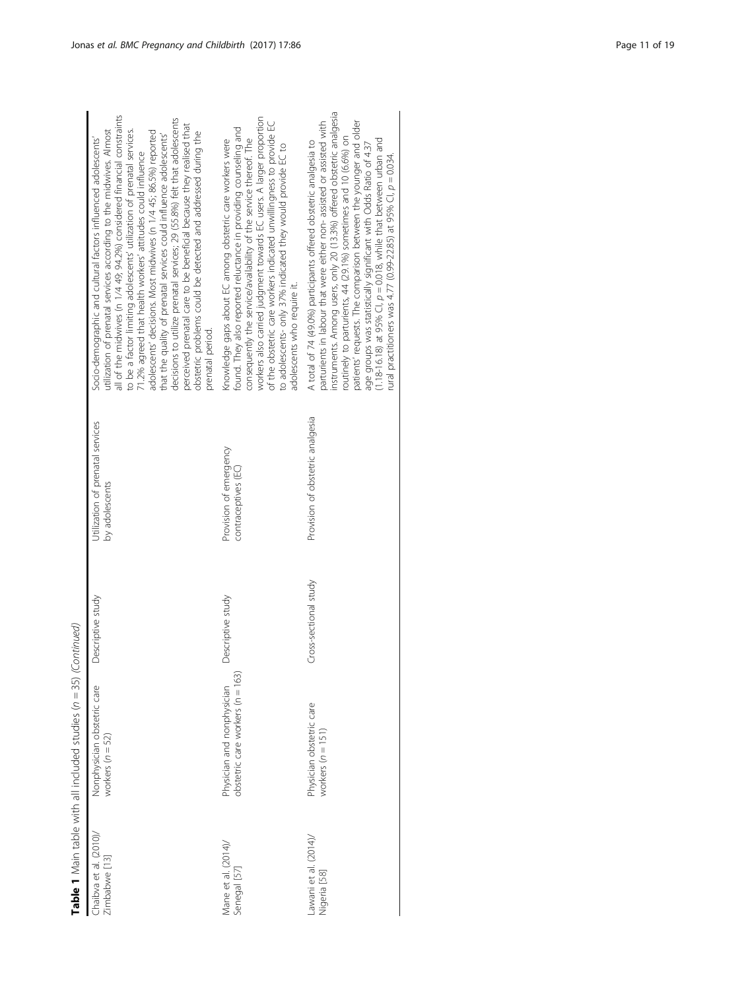| Chaibva et al. (2010)/<br>Zimbabwe [13] | Nonphysician obstetric care<br>workers $(n = 52)$              | Descriptive study     | Utilization of prenatal services<br>by adolescents | all of the midwives (n 1/4 49; 94.2%) considered financial constraints<br>decisions to utilize prenatal services; 29 (55.8%) felt that adolescents<br>perceived prenatal care to be beneficial because they realised that<br>to be a factor limiting adolescents' utilization of prenatal services.<br>utilization of prenatal services according to the midwives. Almost<br>adolescents' decisions. Most midwives (n 1/4 45; 86.5%) reported<br>obstetric problems could be detected and addressed during the<br>that the quality of prenatal services could influence adolescents'<br>Socio-demographic and cultural factors influenced adolescents'<br>71.2% agreed that health workers' attitudes could influence<br>prenatal period. |
|-----------------------------------------|----------------------------------------------------------------|-----------------------|----------------------------------------------------|-------------------------------------------------------------------------------------------------------------------------------------------------------------------------------------------------------------------------------------------------------------------------------------------------------------------------------------------------------------------------------------------------------------------------------------------------------------------------------------------------------------------------------------------------------------------------------------------------------------------------------------------------------------------------------------------------------------------------------------------|
| Mane et al. (2014)/<br>Senegal [57]     | obstetric care workers (n = 163)<br>Physician and nonphysician | Descriptive study     | Provision of emergency<br>contraceptives (EC)      | workers also carried judgment towards EC users. A larger proportion<br>of the obstetric care workers indicated unwillingness to provide EC<br>found. They also reported reluctance in providing counseling and<br>Knowledge gaps about EC among obstetric care workers were<br>consequently the service/availability of the service thereof. The<br>to adolescents- only 37% indicated they would provide EC to<br>adolescents who require it.                                                                                                                                                                                                                                                                                            |
| awani et al. (2014)/<br>Vigeria [58]    | Physician obstetric care<br>workers $(n = 151)$                | Cross-sectional study | Provision of obstetric analgesia                   | instruments. Among users, only 20 (13.3%) offered obstetric analgesia<br>patients' requests. The comparison between the younger and older<br>parturients in labour that were either non-assisted or assisted with<br>routinely to parturients, 44 (29.1%) sometimes and 10 (6.6%) on<br>(1.18-16.18) at 95% CI, $p = 0.018$ , while that between urban and<br>A total of 74 (49.0%) participants offered obstetric analgesia to<br>age groups was statistically significant with Odds Ratio of 4.37<br>ural practitioners was 4.77 (0.99-22.85) at 95% Cl, $p = 0.034$ .                                                                                                                                                                  |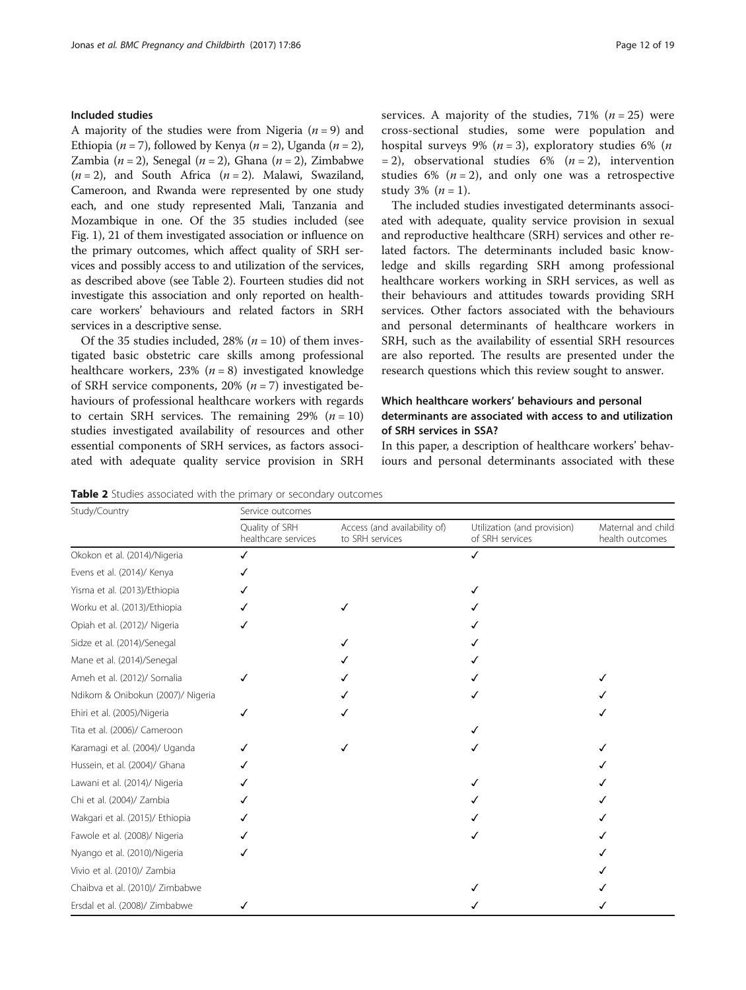## Included studies

A majority of the studies were from Nigeria ( $n = 9$ ) and Ethiopia (*n* = 7), followed by Kenya (*n* = 2), Uganda (*n* = 2), Zambia ( $n = 2$ ), Senegal ( $n = 2$ ), Ghana ( $n = 2$ ), Zimbabwe  $(n = 2)$ , and South Africa  $(n = 2)$ . Malawi, Swaziland, Cameroon, and Rwanda were represented by one study each, and one study represented Mali, Tanzania and Mozambique in one. Of the 35 studies included (see Fig. [1](#page-4-0)), 21 of them investigated association or influence on the primary outcomes, which affect quality of SRH services and possibly access to and utilization of the services, as described above (see Table 2). Fourteen studies did not investigate this association and only reported on healthcare workers' behaviours and related factors in SRH services in a descriptive sense.

Of the 35 studies included, 28% ( $n = 10$ ) of them investigated basic obstetric care skills among professional healthcare workers, 23% ( $n = 8$ ) investigated knowledge of SRH service components, 20% ( $n = 7$ ) investigated behaviours of professional healthcare workers with regards to certain SRH services. The remaining 29%  $(n = 10)$ studies investigated availability of resources and other essential components of SRH services, as factors associated with adequate quality service provision in SRH services. A majority of the studies,  $71\%$  ( $n = 25$ ) were cross-sectional studies, some were population and hospital surveys 9% ( $n = 3$ ), exploratory studies 6% ( $n = 1$ )  $= 2$ ), observational studies 6% (*n* = 2), intervention studies 6% ( $n = 2$ ), and only one was a retrospective study 3%  $(n = 1)$ .

The included studies investigated determinants associated with adequate, quality service provision in sexual and reproductive healthcare (SRH) services and other related factors. The determinants included basic knowledge and skills regarding SRH among professional healthcare workers working in SRH services, as well as their behaviours and attitudes towards providing SRH services. Other factors associated with the behaviours and personal determinants of healthcare workers in SRH, such as the availability of essential SRH resources are also reported. The results are presented under the research questions which this review sought to answer.

## Which healthcare workers' behaviours and personal determinants are associated with access to and utilization of SRH services in SSA?

In this paper, a description of healthcare workers' behaviours and personal determinants associated with these

Table 2 Studies associated with the primary or secondary outcomes

| Study/Country                     | Service outcomes                      |                                                 |                                                |                                       |
|-----------------------------------|---------------------------------------|-------------------------------------------------|------------------------------------------------|---------------------------------------|
|                                   | Quality of SRH<br>healthcare services | Access (and availability of)<br>to SRH services | Utilization (and provision)<br>of SRH services | Maternal and child<br>health outcomes |
| Okokon et al. (2014)/Nigeria      | ✓                                     |                                                 | ✓                                              |                                       |
| Evens et al. (2014)/ Kenya        |                                       |                                                 |                                                |                                       |
| Yisma et al. (2013)/Ethiopia      |                                       |                                                 |                                                |                                       |
| Worku et al. (2013)/Ethiopia      |                                       |                                                 |                                                |                                       |
| Opiah et al. (2012)/ Nigeria      |                                       |                                                 |                                                |                                       |
| Sidze et al. (2014)/Senegal       |                                       |                                                 |                                                |                                       |
| Mane et al. (2014)/Senegal        |                                       |                                                 |                                                |                                       |
| Ameh et al. (2012)/ Somalia       |                                       |                                                 |                                                |                                       |
| Ndikom & Onibokun (2007)/ Nigeria |                                       |                                                 |                                                |                                       |
| Ehiri et al. (2005)/Nigeria       |                                       |                                                 |                                                |                                       |
| Tita et al. (2006)/ Cameroon      |                                       |                                                 |                                                |                                       |
| Karamagi et al. (2004)/ Uganda    |                                       |                                                 |                                                |                                       |
| Hussein, et al. (2004)/ Ghana     |                                       |                                                 |                                                |                                       |
| Lawani et al. (2014)/ Nigeria     |                                       |                                                 |                                                |                                       |
| Chi et al. (2004)/ Zambia         |                                       |                                                 |                                                |                                       |
| Wakgari et al. (2015)/ Ethiopia   |                                       |                                                 |                                                |                                       |
| Fawole et al. (2008)/ Nigeria     |                                       |                                                 |                                                |                                       |
| Nyango et al. (2010)/Nigeria      |                                       |                                                 |                                                |                                       |
| Vivio et al. (2010)/ Zambia       |                                       |                                                 |                                                |                                       |
| Chaibva et al. (2010)/ Zimbabwe   |                                       |                                                 |                                                |                                       |
| Ersdal et al. (2008)/ Zimbabwe    |                                       |                                                 |                                                |                                       |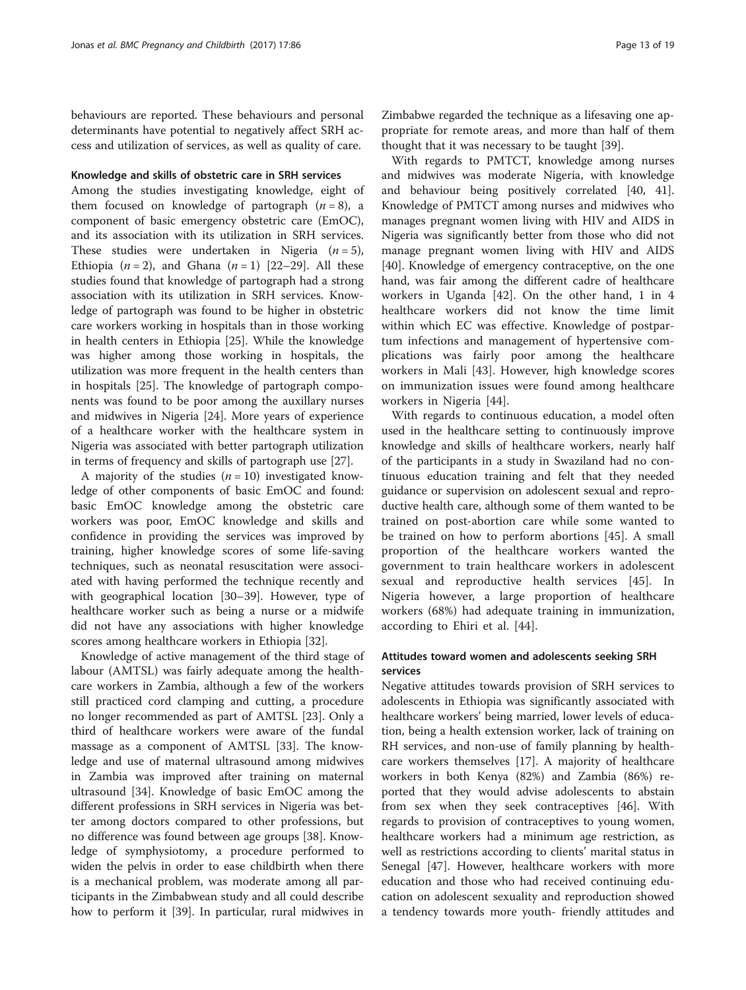behaviours are reported. These behaviours and personal determinants have potential to negatively affect SRH access and utilization of services, as well as quality of care.

## Knowledge and skills of obstetric care in SRH services

Among the studies investigating knowledge, eight of them focused on knowledge of partograph  $(n = 8)$ , a component of basic emergency obstetric care (EmOC), and its association with its utilization in SRH services. These studies were undertaken in Nigeria  $(n = 5)$ , Ethiopia  $(n = 2)$ , and Ghana  $(n = 1)$  [\[22](#page-17-0)–[29\]](#page-17-0). All these studies found that knowledge of partograph had a strong association with its utilization in SRH services. Knowledge of partograph was found to be higher in obstetric care workers working in hospitals than in those working in health centers in Ethiopia [[25\]](#page-17-0). While the knowledge was higher among those working in hospitals, the utilization was more frequent in the health centers than in hospitals [[25](#page-17-0)]. The knowledge of partograph components was found to be poor among the auxillary nurses and midwives in Nigeria [[24\]](#page-17-0). More years of experience of a healthcare worker with the healthcare system in Nigeria was associated with better partograph utilization in terms of frequency and skills of partograph use [\[27\]](#page-17-0).

A majority of the studies  $(n = 10)$  investigated knowledge of other components of basic EmOC and found: basic EmOC knowledge among the obstetric care workers was poor, EmOC knowledge and skills and confidence in providing the services was improved by training, higher knowledge scores of some life-saving techniques, such as neonatal resuscitation were associated with having performed the technique recently and with geographical location [\[30](#page-17-0)–[39\]](#page-17-0). However, type of healthcare worker such as being a nurse or a midwife did not have any associations with higher knowledge scores among healthcare workers in Ethiopia [[32\]](#page-17-0).

Knowledge of active management of the third stage of labour (AMTSL) was fairly adequate among the healthcare workers in Zambia, although a few of the workers still practiced cord clamping and cutting, a procedure no longer recommended as part of AMTSL [\[23](#page-17-0)]. Only a third of healthcare workers were aware of the fundal massage as a component of AMTSL [[33](#page-17-0)]. The knowledge and use of maternal ultrasound among midwives in Zambia was improved after training on maternal ultrasound [\[34\]](#page-17-0). Knowledge of basic EmOC among the different professions in SRH services in Nigeria was better among doctors compared to other professions, but no difference was found between age groups [\[38\]](#page-17-0). Knowledge of symphysiotomy, a procedure performed to widen the pelvis in order to ease childbirth when there is a mechanical problem, was moderate among all participants in the Zimbabwean study and all could describe how to perform it [\[39](#page-17-0)]. In particular, rural midwives in Zimbabwe regarded the technique as a lifesaving one appropriate for remote areas, and more than half of them thought that it was necessary to be taught [\[39\]](#page-17-0).

With regards to PMTCT, knowledge among nurses and midwives was moderate Nigeria, with knowledge and behaviour being positively correlated [[40](#page-17-0), [41](#page-17-0)]. Knowledge of PMTCT among nurses and midwives who manages pregnant women living with HIV and AIDS in Nigeria was significantly better from those who did not manage pregnant women living with HIV and AIDS [[40\]](#page-17-0). Knowledge of emergency contraceptive, on the one hand, was fair among the different cadre of healthcare workers in Uganda [[42\]](#page-17-0). On the other hand, 1 in 4 healthcare workers did not know the time limit within which EC was effective. Knowledge of postpartum infections and management of hypertensive complications was fairly poor among the healthcare workers in Mali [[43](#page-17-0)]. However, high knowledge scores on immunization issues were found among healthcare workers in Nigeria [\[44](#page-17-0)].

With regards to continuous education, a model often used in the healthcare setting to continuously improve knowledge and skills of healthcare workers, nearly half of the participants in a study in Swaziland had no continuous education training and felt that they needed guidance or supervision on adolescent sexual and reproductive health care, although some of them wanted to be trained on post-abortion care while some wanted to be trained on how to perform abortions [[45\]](#page-17-0). A small proportion of the healthcare workers wanted the government to train healthcare workers in adolescent sexual and reproductive health services [\[45](#page-17-0)]. In Nigeria however, a large proportion of healthcare workers (68%) had adequate training in immunization, according to Ehiri et al. [[44\]](#page-17-0).

## Attitudes toward women and adolescents seeking SRH services

Negative attitudes towards provision of SRH services to adolescents in Ethiopia was significantly associated with healthcare workers' being married, lower levels of education, being a health extension worker, lack of training on RH services, and non-use of family planning by healthcare workers themselves [[17\]](#page-17-0). A majority of healthcare workers in both Kenya (82%) and Zambia (86%) reported that they would advise adolescents to abstain from sex when they seek contraceptives [[46\]](#page-17-0). With regards to provision of contraceptives to young women, healthcare workers had a minimum age restriction, as well as restrictions according to clients' marital status in Senegal [\[47](#page-17-0)]. However, healthcare workers with more education and those who had received continuing education on adolescent sexuality and reproduction showed a tendency towards more youth- friendly attitudes and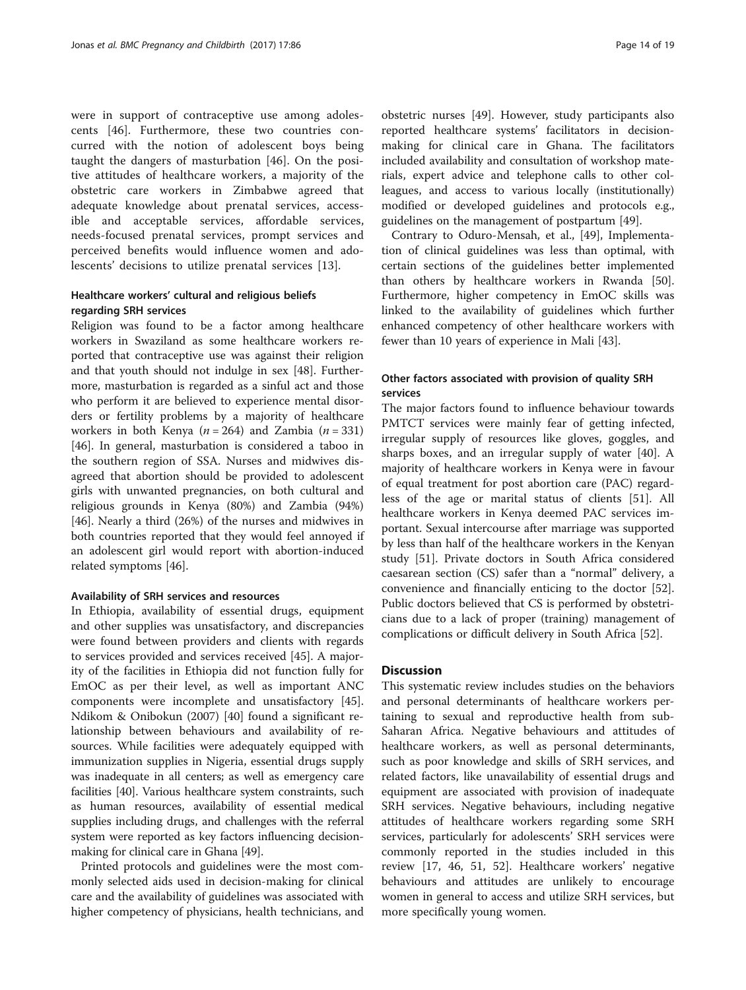were in support of contraceptive use among adolescents [[46](#page-17-0)]. Furthermore, these two countries concurred with the notion of adolescent boys being taught the dangers of masturbation [[46\]](#page-17-0). On the positive attitudes of healthcare workers, a majority of the obstetric care workers in Zimbabwe agreed that adequate knowledge about prenatal services, accessible and acceptable services, affordable services, needs-focused prenatal services, prompt services and perceived benefits would influence women and adolescents' decisions to utilize prenatal services [[13\]](#page-17-0).

## Healthcare workers' cultural and religious beliefs regarding SRH services

Religion was found to be a factor among healthcare workers in Swaziland as some healthcare workers reported that contraceptive use was against their religion and that youth should not indulge in sex [\[48](#page-17-0)]. Furthermore, masturbation is regarded as a sinful act and those who perform it are believed to experience mental disorders or fertility problems by a majority of healthcare workers in both Kenya ( $n = 264$ ) and Zambia ( $n = 331$ ) [[46\]](#page-17-0). In general, masturbation is considered a taboo in the southern region of SSA. Nurses and midwives disagreed that abortion should be provided to adolescent girls with unwanted pregnancies, on both cultural and religious grounds in Kenya (80%) and Zambia (94%) [[46\]](#page-17-0). Nearly a third (26%) of the nurses and midwives in both countries reported that they would feel annoyed if an adolescent girl would report with abortion-induced related symptoms [\[46](#page-17-0)].

## Availability of SRH services and resources

In Ethiopia, availability of essential drugs, equipment and other supplies was unsatisfactory, and discrepancies were found between providers and clients with regards to services provided and services received [\[45\]](#page-17-0). A majority of the facilities in Ethiopia did not function fully for EmOC as per their level, as well as important ANC components were incomplete and unsatisfactory [\[45](#page-17-0)]. Ndikom & Onibokun (2007) [[40\]](#page-17-0) found a significant relationship between behaviours and availability of resources. While facilities were adequately equipped with immunization supplies in Nigeria, essential drugs supply was inadequate in all centers; as well as emergency care facilities [\[40](#page-17-0)]. Various healthcare system constraints, such as human resources, availability of essential medical supplies including drugs, and challenges with the referral system were reported as key factors influencing decisionmaking for clinical care in Ghana [[49](#page-17-0)].

Printed protocols and guidelines were the most commonly selected aids used in decision-making for clinical care and the availability of guidelines was associated with higher competency of physicians, health technicians, and

obstetric nurses [[49](#page-17-0)]. However, study participants also reported healthcare systems' facilitators in decisionmaking for clinical care in Ghana. The facilitators included availability and consultation of workshop materials, expert advice and telephone calls to other colleagues, and access to various locally (institutionally) modified or developed guidelines and protocols e.g., guidelines on the management of postpartum [[49\]](#page-17-0).

Contrary to Oduro-Mensah, et al., [\[49](#page-17-0)], Implementation of clinical guidelines was less than optimal, with certain sections of the guidelines better implemented than others by healthcare workers in Rwanda [\[50](#page-18-0)]. Furthermore, higher competency in EmOC skills was linked to the availability of guidelines which further enhanced competency of other healthcare workers with fewer than 10 years of experience in Mali [[43](#page-17-0)].

## Other factors associated with provision of quality SRH services

The major factors found to influence behaviour towards PMTCT services were mainly fear of getting infected, irregular supply of resources like gloves, goggles, and sharps boxes, and an irregular supply of water [\[40\]](#page-17-0). A majority of healthcare workers in Kenya were in favour of equal treatment for post abortion care (PAC) regardless of the age or marital status of clients [\[51](#page-18-0)]. All healthcare workers in Kenya deemed PAC services important. Sexual intercourse after marriage was supported by less than half of the healthcare workers in the Kenyan study [[51](#page-18-0)]. Private doctors in South Africa considered caesarean section (CS) safer than a "normal" delivery, a convenience and financially enticing to the doctor [\[52](#page-18-0)]. Public doctors believed that CS is performed by obstetricians due to a lack of proper (training) management of complications or difficult delivery in South Africa [\[52\]](#page-18-0).

## **Discussion**

This systematic review includes studies on the behaviors and personal determinants of healthcare workers pertaining to sexual and reproductive health from sub-Saharan Africa. Negative behaviours and attitudes of healthcare workers, as well as personal determinants, such as poor knowledge and skills of SRH services, and related factors, like unavailability of essential drugs and equipment are associated with provision of inadequate SRH services. Negative behaviours, including negative attitudes of healthcare workers regarding some SRH services, particularly for adolescents' SRH services were commonly reported in the studies included in this review [\[17](#page-17-0), [46,](#page-17-0) [51, 52\]](#page-18-0). Healthcare workers' negative behaviours and attitudes are unlikely to encourage women in general to access and utilize SRH services, but more specifically young women.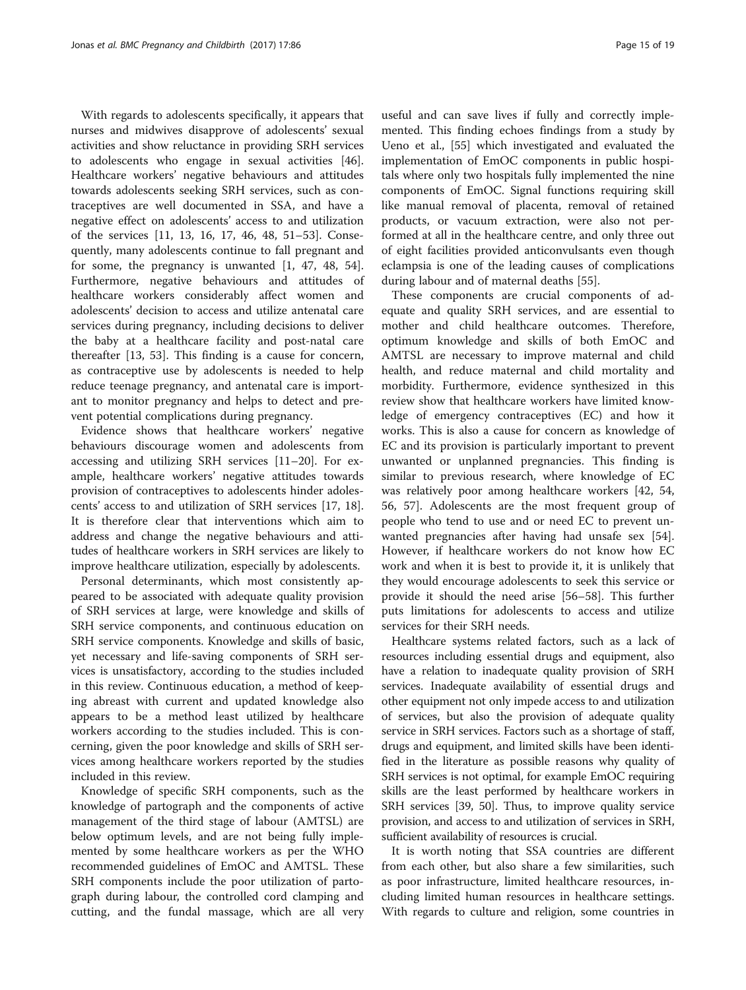With regards to adolescents specifically, it appears that nurses and midwives disapprove of adolescents' sexual activities and show reluctance in providing SRH services to adolescents who engage in sexual activities [\[46](#page-17-0)]. Healthcare workers' negative behaviours and attitudes towards adolescents seeking SRH services, such as contraceptives are well documented in SSA, and have a negative effect on adolescents' access to and utilization of the services [\[11](#page-17-0), [13, 16](#page-17-0), [17](#page-17-0), [46, 48](#page-17-0), [51](#page-18-0)–[53\]](#page-18-0). Consequently, many adolescents continue to fall pregnant and for some, the pregnancy is unwanted [\[1](#page-16-0), [47, 48,](#page-17-0) [54](#page-18-0)]. Furthermore, negative behaviours and attitudes of healthcare workers considerably affect women and adolescents' decision to access and utilize antenatal care services during pregnancy, including decisions to deliver the baby at a healthcare facility and post-natal care thereafter [[13](#page-17-0), [53](#page-18-0)]. This finding is a cause for concern, as contraceptive use by adolescents is needed to help reduce teenage pregnancy, and antenatal care is important to monitor pregnancy and helps to detect and prevent potential complications during pregnancy.

Evidence shows that healthcare workers' negative behaviours discourage women and adolescents from accessing and utilizing SRH services [\[11](#page-17-0)–[20](#page-17-0)]. For example, healthcare workers' negative attitudes towards provision of contraceptives to adolescents hinder adolescents' access to and utilization of SRH services [[17, 18](#page-17-0)]. It is therefore clear that interventions which aim to address and change the negative behaviours and attitudes of healthcare workers in SRH services are likely to improve healthcare utilization, especially by adolescents.

Personal determinants, which most consistently appeared to be associated with adequate quality provision of SRH services at large, were knowledge and skills of SRH service components, and continuous education on SRH service components. Knowledge and skills of basic, yet necessary and life-saving components of SRH services is unsatisfactory, according to the studies included in this review. Continuous education, a method of keeping abreast with current and updated knowledge also appears to be a method least utilized by healthcare workers according to the studies included. This is concerning, given the poor knowledge and skills of SRH services among healthcare workers reported by the studies included in this review.

Knowledge of specific SRH components, such as the knowledge of partograph and the components of active management of the third stage of labour (AMTSL) are below optimum levels, and are not being fully implemented by some healthcare workers as per the WHO recommended guidelines of EmOC and AMTSL. These SRH components include the poor utilization of partograph during labour, the controlled cord clamping and cutting, and the fundal massage, which are all very

useful and can save lives if fully and correctly implemented. This finding echoes findings from a study by Ueno et al., [[55\]](#page-18-0) which investigated and evaluated the implementation of EmOC components in public hospitals where only two hospitals fully implemented the nine components of EmOC. Signal functions requiring skill like manual removal of placenta, removal of retained products, or vacuum extraction, were also not performed at all in the healthcare centre, and only three out of eight facilities provided anticonvulsants even though eclampsia is one of the leading causes of complications during labour and of maternal deaths [\[55\]](#page-18-0).

These components are crucial components of adequate and quality SRH services, and are essential to mother and child healthcare outcomes. Therefore, optimum knowledge and skills of both EmOC and AMTSL are necessary to improve maternal and child health, and reduce maternal and child mortality and morbidity. Furthermore, evidence synthesized in this review show that healthcare workers have limited knowledge of emergency contraceptives (EC) and how it works. This is also a cause for concern as knowledge of EC and its provision is particularly important to prevent unwanted or unplanned pregnancies. This finding is similar to previous research, where knowledge of EC was relatively poor among healthcare workers [[42,](#page-17-0) [54](#page-18-0), [56, 57](#page-18-0)]. Adolescents are the most frequent group of people who tend to use and or need EC to prevent unwanted pregnancies after having had unsafe sex [\[54](#page-18-0)]. However, if healthcare workers do not know how EC work and when it is best to provide it, it is unlikely that they would encourage adolescents to seek this service or provide it should the need arise [[56](#page-18-0)–[58](#page-18-0)]. This further puts limitations for adolescents to access and utilize services for their SRH needs.

Healthcare systems related factors, such as a lack of resources including essential drugs and equipment, also have a relation to inadequate quality provision of SRH services. Inadequate availability of essential drugs and other equipment not only impede access to and utilization of services, but also the provision of adequate quality service in SRH services. Factors such as a shortage of staff, drugs and equipment, and limited skills have been identified in the literature as possible reasons why quality of SRH services is not optimal, for example EmOC requiring skills are the least performed by healthcare workers in SRH services [\[39,](#page-17-0) [50](#page-18-0)]. Thus, to improve quality service provision, and access to and utilization of services in SRH, sufficient availability of resources is crucial.

It is worth noting that SSA countries are different from each other, but also share a few similarities, such as poor infrastructure, limited healthcare resources, including limited human resources in healthcare settings. With regards to culture and religion, some countries in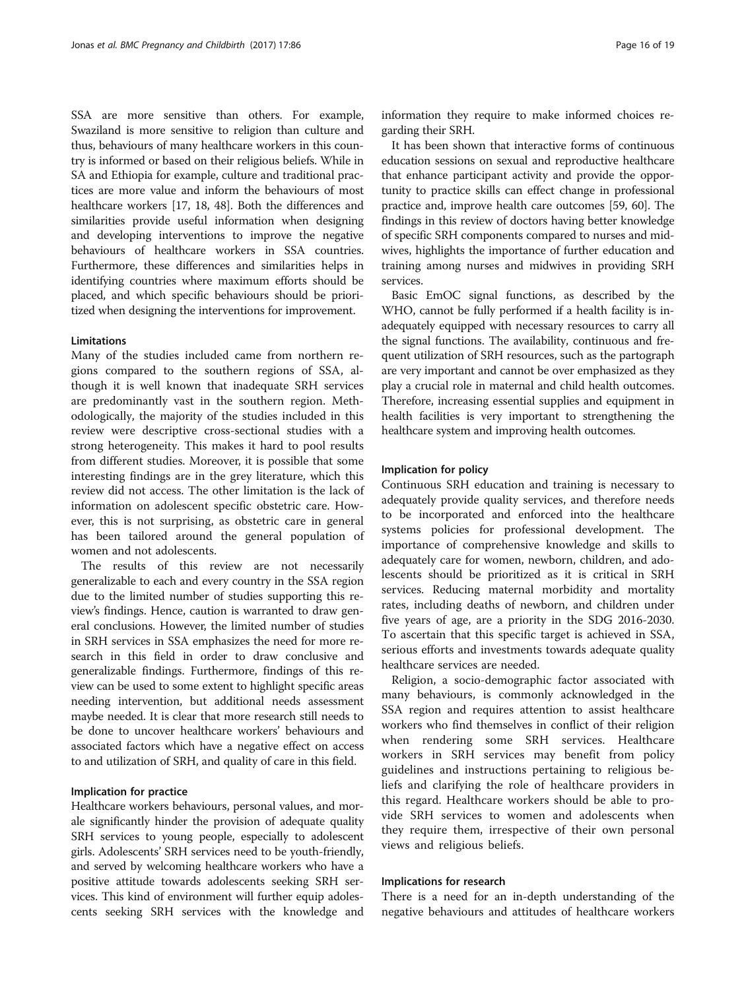SSA are more sensitive than others. For example, Swaziland is more sensitive to religion than culture and thus, behaviours of many healthcare workers in this country is informed or based on their religious beliefs. While in SA and Ethiopia for example, culture and traditional practices are more value and inform the behaviours of most healthcare workers [\[17, 18](#page-17-0), [48\]](#page-17-0). Both the differences and similarities provide useful information when designing and developing interventions to improve the negative behaviours of healthcare workers in SSA countries. Furthermore, these differences and similarities helps in identifying countries where maximum efforts should be placed, and which specific behaviours should be prioritized when designing the interventions for improvement.

#### **Limitations**

Many of the studies included came from northern regions compared to the southern regions of SSA, although it is well known that inadequate SRH services are predominantly vast in the southern region. Methodologically, the majority of the studies included in this review were descriptive cross-sectional studies with a strong heterogeneity. This makes it hard to pool results from different studies. Moreover, it is possible that some interesting findings are in the grey literature, which this review did not access. The other limitation is the lack of information on adolescent specific obstetric care. However, this is not surprising, as obstetric care in general has been tailored around the general population of women and not adolescents.

The results of this review are not necessarily generalizable to each and every country in the SSA region due to the limited number of studies supporting this review's findings. Hence, caution is warranted to draw general conclusions. However, the limited number of studies in SRH services in SSA emphasizes the need for more research in this field in order to draw conclusive and generalizable findings. Furthermore, findings of this review can be used to some extent to highlight specific areas needing intervention, but additional needs assessment maybe needed. It is clear that more research still needs to be done to uncover healthcare workers' behaviours and associated factors which have a negative effect on access to and utilization of SRH, and quality of care in this field.

## Implication for practice

Healthcare workers behaviours, personal values, and morale significantly hinder the provision of adequate quality SRH services to young people, especially to adolescent girls. Adolescents' SRH services need to be youth-friendly, and served by welcoming healthcare workers who have a positive attitude towards adolescents seeking SRH services. This kind of environment will further equip adolescents seeking SRH services with the knowledge and

information they require to make informed choices regarding their SRH.

It has been shown that interactive forms of continuous education sessions on sexual and reproductive healthcare that enhance participant activity and provide the opportunity to practice skills can effect change in professional practice and, improve health care outcomes [\[59](#page-18-0), [60](#page-18-0)]. The findings in this review of doctors having better knowledge of specific SRH components compared to nurses and midwives, highlights the importance of further education and training among nurses and midwives in providing SRH services.

Basic EmOC signal functions, as described by the WHO, cannot be fully performed if a health facility is inadequately equipped with necessary resources to carry all the signal functions. The availability, continuous and frequent utilization of SRH resources, such as the partograph are very important and cannot be over emphasized as they play a crucial role in maternal and child health outcomes. Therefore, increasing essential supplies and equipment in health facilities is very important to strengthening the healthcare system and improving health outcomes.

#### Implication for policy

Continuous SRH education and training is necessary to adequately provide quality services, and therefore needs to be incorporated and enforced into the healthcare systems policies for professional development. The importance of comprehensive knowledge and skills to adequately care for women, newborn, children, and adolescents should be prioritized as it is critical in SRH services. Reducing maternal morbidity and mortality rates, including deaths of newborn, and children under five years of age, are a priority in the SDG 2016-2030. To ascertain that this specific target is achieved in SSA, serious efforts and investments towards adequate quality healthcare services are needed.

Religion, a socio-demographic factor associated with many behaviours, is commonly acknowledged in the SSA region and requires attention to assist healthcare workers who find themselves in conflict of their religion when rendering some SRH services. Healthcare workers in SRH services may benefit from policy guidelines and instructions pertaining to religious beliefs and clarifying the role of healthcare providers in this regard. Healthcare workers should be able to provide SRH services to women and adolescents when they require them, irrespective of their own personal views and religious beliefs.

## Implications for research

There is a need for an in-depth understanding of the negative behaviours and attitudes of healthcare workers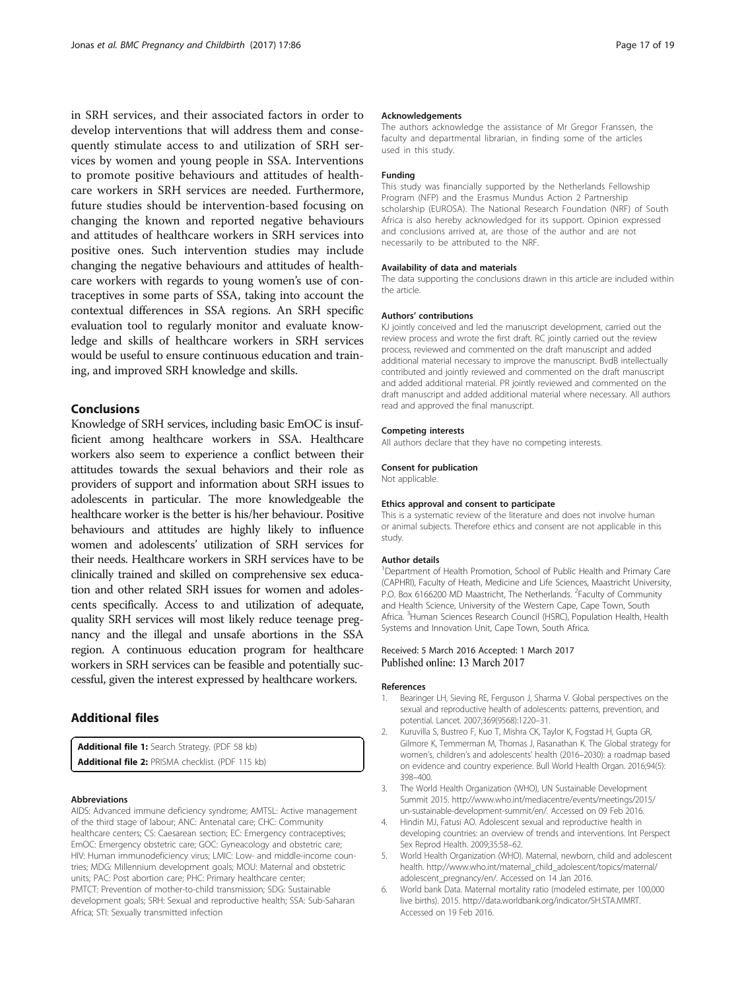<span id="page-16-0"></span>in SRH services, and their associated factors in order to develop interventions that will address them and consequently stimulate access to and utilization of SRH services by women and young people in SSA. Interventions to promote positive behaviours and attitudes of healthcare workers in SRH services are needed. Furthermore, future studies should be intervention-based focusing on changing the known and reported negative behaviours and attitudes of healthcare workers in SRH services into positive ones. Such intervention studies may include changing the negative behaviours and attitudes of healthcare workers with regards to young women's use of contraceptives in some parts of SSA, taking into account the contextual differences in SSA regions. An SRH specific evaluation tool to regularly monitor and evaluate knowledge and skills of healthcare workers in SRH services would be useful to ensure continuous education and training, and improved SRH knowledge and skills.

## Conclusions

Knowledge of SRH services, including basic EmOC is insufficient among healthcare workers in SSA. Healthcare workers also seem to experience a conflict between their attitudes towards the sexual behaviors and their role as providers of support and information about SRH issues to adolescents in particular. The more knowledgeable the healthcare worker is the better is his/her behaviour. Positive behaviours and attitudes are highly likely to influence women and adolescents' utilization of SRH services for their needs. Healthcare workers in SRH services have to be clinically trained and skilled on comprehensive sex education and other related SRH issues for women and adolescents specifically. Access to and utilization of adequate, quality SRH services will most likely reduce teenage pregnancy and the illegal and unsafe abortions in the SSA region. A continuous education program for healthcare workers in SRH services can be feasible and potentially successful, given the interest expressed by healthcare workers.

## Additional files

[Additional file 1:](dx.doi.org/10.1186/s12884-017-1268-x) Search Strategy. (PDF 58 kb) [Additional file 2:](dx.doi.org/10.1186/s12884-017-1268-x) PRISMA checklist. (PDF 115 kb)

#### Abbreviations

AIDS: Advanced immune deficiency syndrome; AMTSL: Active management of the third stage of labour; ANC: Antenatal care; CHC: Community healthcare centers; CS: Caesarean section; EC: Emergency contraceptives; EmOC: Emergency obstetric care; GOC: Gyneacology and obstetric care; HIV: Human immunodeficiency virus; LMIC: Low- and middle-income countries; MDG: Millennium development goals; MOU: Maternal and obstetric units; PAC: Post abortion care; PHC: Primary healthcare center; PMTCT: Prevention of mother-to-child transmission; SDG: Sustainable development goals; SRH: Sexual and reproductive health; SSA: Sub-Saharan Africa; STI: Sexually transmitted infection

#### Acknowledgements

The authors acknowledge the assistance of Mr Gregor Franssen, the faculty and departmental librarian, in finding some of the articles used in this study.

#### Funding

This study was financially supported by the Netherlands Fellowship Program (NFP) and the Erasmus Mundus Action 2 Partnership scholarship (EUROSA). The National Research Foundation (NRF) of South Africa is also hereby acknowledged for its support. Opinion expressed and conclusions arrived at, are those of the author and are not necessarily to be attributed to the NRF.

#### Availability of data and materials

The data supporting the conclusions drawn in this article are included within the article.

#### Authors' contributions

KJ jointly conceived and led the manuscript development, carried out the review process and wrote the first draft. RC jointly carried out the review process, reviewed and commented on the draft manuscript and added additional material necessary to improve the manuscript. BvdB intellectually contributed and jointly reviewed and commented on the draft manuscript and added additional material. PR jointly reviewed and commented on the draft manuscript and added additional material where necessary. All authors read and approved the final manuscript.

#### Competing interests

All authors declare that they have no competing interests.

#### Consent for publication

Not applicable.

#### Ethics approval and consent to participate

This is a systematic review of the literature and does not involve human or animal subjects. Therefore ethics and consent are not applicable in this study.

#### Author details

<sup>1</sup>Department of Health Promotion, School of Public Health and Primary Care (CAPHRI), Faculty of Heath, Medicine and Life Sciences, Maastricht University, P.O. Box 6166200 MD Maastricht, The Netherlands. <sup>2</sup>Faculty of Community and Health Science, University of the Western Cape, Cape Town, South Africa. <sup>3</sup> Human Sciences Research Council (HSRC), Population Health, Health Systems and Innovation Unit, Cape Town, South Africa.

#### Received: 5 March 2016 Accepted: 1 March 2017 Published online: 13 March 2017

#### References

- 1. Bearinger LH, Sieving RE, Ferguson J, Sharma V. Global perspectives on the sexual and reproductive health of adolescents: patterns, prevention, and potential. Lancet. 2007;369(9568):1220–31.
- 2. Kuruvilla S, Bustreo F, Kuo T, Mishra CK, Taylor K, Fogstad H, Gupta GR, Gilmore K, Temmerman M, Thomas J, Rasanathan K. The Global strategy for women's, children's and adolescents' health (2016–2030): a roadmap based on evidence and country experience. Bull World Health Organ. 2016;94(5): 398–400.
- 3. The World Health Organization (WHO), UN Sustainable Development Summit 2015. [http://www.who.int/mediacentre/events/meetings/2015/](http://www.who.int/mediacentre/events/meetings/2015/un-sustainable-development-summit/en/) [un-sustainable-development-summit/en/.](http://www.who.int/mediacentre/events/meetings/2015/un-sustainable-development-summit/en/) Accessed on 09 Feb 2016.
- 4. Hindin MJ, Fatusi AO. Adolescent sexual and reproductive health in developing countries: an overview of trends and interventions. Int Perspect Sex Reprod Health. 2009;35:58–62.
- 5. World Health Organization (WHO). Maternal, newborn, child and adolescent health. [http://www.who.int/maternal\\_child\\_adolescent/topics/maternal/](http://www.who.int/maternal_child_adolescent/topics/maternal/adolescent_pregnancy/en/) [adolescent\\_pregnancy/en/](http://www.who.int/maternal_child_adolescent/topics/maternal/adolescent_pregnancy/en/). Accessed on 14 Jan 2016.
- 6. World bank Data. Maternal mortality ratio (modeled estimate, per 100,000 live births). 2015. [http://data.worldbank.org/indicator/SH.STA.MMRT.](http://data.worldbank.org/indicator/SH.STA.MMRT) Accessed on 19 Feb 2016.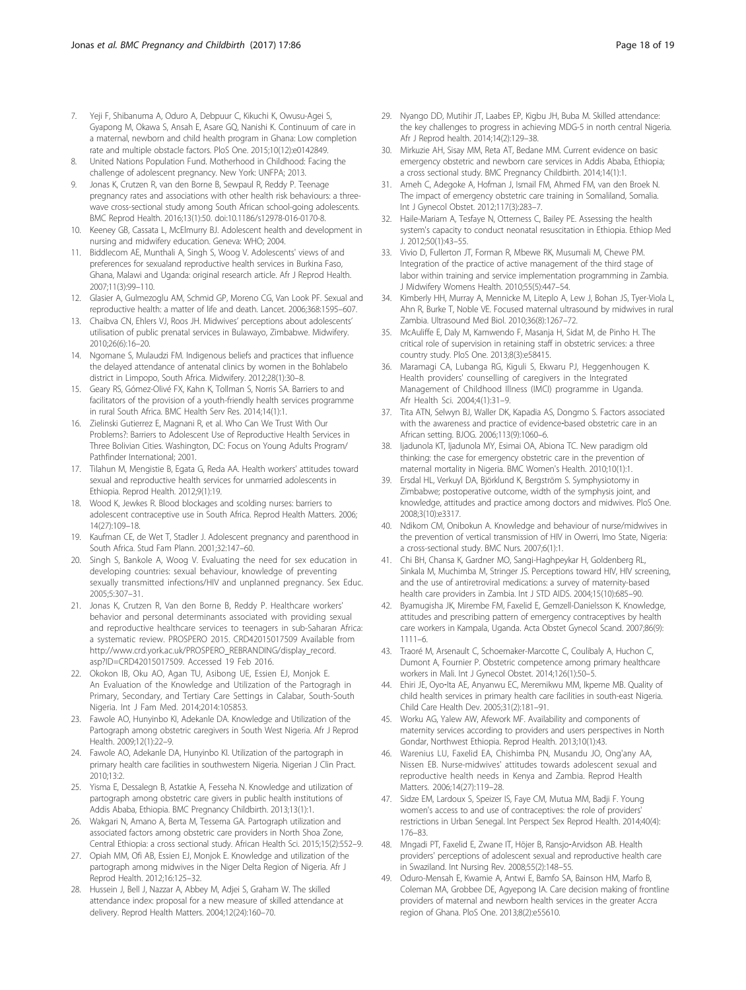- <span id="page-17-0"></span>7. Yeji F, Shibanuma A, Oduro A, Debpuur C, Kikuchi K, Owusu-Agei S, Gyapong M, Okawa S, Ansah E, Asare GQ, Nanishi K. Continuum of care in a maternal, newborn and child health program in Ghana: Low completion rate and multiple obstacle factors. PloS One. 2015;10(12):e0142849.
- 8. United Nations Population Fund. Motherhood in Childhood: Facing the challenge of adolescent pregnancy. New York: UNFPA; 2013.
- Jonas K, Crutzen R, van den Borne B, Sewpaul R, Reddy P. Teenage pregnancy rates and associations with other health risk behaviours: a threewave cross-sectional study among South African school-going adolescents. BMC Reprod Health. 2016;13(1):50. doi:[10.1186/s12978-016-0170-8](http://dx.doi.org/10.1186/s12978-016-0170-8).
- 10. Keeney GB, Cassata L, McElmurry BJ. Adolescent health and development in nursing and midwifery education. Geneva: WHO; 2004.
- 11. Biddlecom AE, Munthali A, Singh S, Woog V. Adolescents' views of and preferences for sexualand reproductive health services in Burkina Faso, Ghana, Malawi and Uganda: original research article. Afr J Reprod Health. 2007;11(3):99–110.
- 12. Glasier A, Gulmezoglu AM, Schmid GP, Moreno CG, Van Look PF. Sexual and reproductive health: a matter of life and death. Lancet. 2006;368:1595–607.
- 13. Chaibva CN, Ehlers VJ, Roos JH. Midwives' perceptions about adolescents' utilisation of public prenatal services in Bulawayo, Zimbabwe. Midwifery. 2010;26(6):16–20.
- 14. Ngomane S, Mulaudzi FM. Indigenous beliefs and practices that influence the delayed attendance of antenatal clinics by women in the Bohlabelo district in Limpopo, South Africa. Midwifery. 2012;28(1):30–8.
- 15. Geary RS, Gómez-Olivé FX, Kahn K, Tollman S, Norris SA. Barriers to and facilitators of the provision of a youth-friendly health services programme in rural South Africa. BMC Health Serv Res. 2014;14(1):1.
- 16. Zielinski Gutierrez E, Magnani R, et al. Who Can We Trust With Our Problems?: Barriers to Adolescent Use of Reproductive Health Services in Three Bolivian Cities. Washington, DC: Focus on Young Adults Program/ Pathfinder International; 2001.
- 17. Tilahun M, Mengistie B, Egata G, Reda AA. Health workers' attitudes toward sexual and reproductive health services for unmarried adolescents in Ethiopia. Reprod Health. 2012;9(1):19.
- 18. Wood K, Jewkes R. Blood blockages and scolding nurses: barriers to adolescent contraceptive use in South Africa. Reprod Health Matters. 2006; 14(27):109–18.
- 19. Kaufman CE, de Wet T, Stadler J. Adolescent pregnancy and parenthood in South Africa. Stud Fam Plann. 2001;32:147–60.
- 20. Singh S, Bankole A, Woog V. Evaluating the need for sex education in developing countries: sexual behaviour, knowledge of preventing sexually transmitted infections/HIV and unplanned pregnancy. Sex Educ. 2005;5:307–31.
- 21. Jonas K, Crutzen R, Van den Borne B, Reddy P. Healthcare workers' behavior and personal determinants associated with providing sexual and reproductive healthcare services to teenagers in sub-Saharan Africa: a systematic review. PROSPERO 2015. CRD42015017509 Available from [http://www.crd.york.ac.uk/PROSPERO\\_REBRANDING/display\\_record.](http://www.crd.york.ac.uk/PROSPERO_REBRANDING/display_record.asp?ID=CRD42015017509) [asp?ID=CRD42015017509.](http://www.crd.york.ac.uk/PROSPERO_REBRANDING/display_record.asp?ID=CRD42015017509) Accessed 19 Feb 2016.
- 22. Okokon IB, Oku AO, Agan TU, Asibong UE, Essien EJ, Monjok E. An Evaluation of the Knowledge and Utilization of the Partogragh in Primary, Secondary, and Tertiary Care Settings in Calabar, South-South Nigeria. Int J Fam Med. 2014;2014:105853.
- 23. Fawole AO, Hunyinbo KI, Adekanle DA. Knowledge and Utilization of the Partograph among obstetric caregivers in South West Nigeria. Afr J Reprod Health. 2009;12(1):22–9.
- 24. Fawole AO, Adekanle DA, Hunyinbo KI. Utilization of the partograph in primary health care facilities in southwestern Nigeria. Nigerian J Clin Pract. 2010;13:2.
- 25. Yisma E, Dessalegn B, Astatkie A, Fesseha N. Knowledge and utilization of partograph among obstetric care givers in public health institutions of Addis Ababa, Ethiopia. BMC Pregnancy Childbirth. 2013;13(1):1.
- 26. Wakgari N, Amano A, Berta M, Tessema GA. Partograph utilization and associated factors among obstetric care providers in North Shoa Zone, Central Ethiopia: a cross sectional study. African Health Sci. 2015;15(2):552–9.
- 27. Opiah MM, Ofi AB, Essien EJ, Monjok E. Knowledge and utilization of the partograph among midwives in the Niger Delta Region of Nigeria. Afr J Reprod Health. 2012;16:125–32.
- 28. Hussein J, Bell J, Nazzar A, Abbey M, Adjei S, Graham W. The skilled attendance index: proposal for a new measure of skilled attendance at delivery. Reprod Health Matters. 2004;12(24):160–70.
- 29. Nyango DD, Mutihir JT, Laabes EP, Kigbu JH, Buba M. Skilled attendance: the key challenges to progress in achieving MDG-5 in north central Nigeria. Afr J Reprod health. 2014;14(2):129–38.
- 30. Mirkuzie AH, Sisay MM, Reta AT, Bedane MM. Current evidence on basic emergency obstetric and newborn care services in Addis Ababa, Ethiopia; a cross sectional study. BMC Pregnancy Childbirth. 2014;14(1):1.
- 31. Ameh C, Adegoke A, Hofman J, Ismail FM, Ahmed FM, van den Broek N. The impact of emergency obstetric care training in Somaliland, Somalia. Int J Gynecol Obstet. 2012;117(3):283–7.
- 32. Haile-Mariam A, Tesfaye N, Otterness C, Bailey PE. Assessing the health system's capacity to conduct neonatal resuscitation in Ethiopia. Ethiop Med J. 2012;50(1):43–55.
- 33. Vivio D, Fullerton JT, Forman R, Mbewe RK, Musumali M, Chewe PM. Integration of the practice of active management of the third stage of labor within training and service implementation programming in Zambia. J Midwifery Womens Health. 2010;55(5):447–54.
- 34. Kimberly HH, Murray A, Mennicke M, Liteplo A, Lew J, Bohan JS, Tyer-Viola L, Ahn R, Burke T, Noble VE. Focused maternal ultrasound by midwives in rural Zambia. Ultrasound Med Biol. 2010;36(8):1267–72.
- 35. McAuliffe E, Daly M, Kamwendo F, Masanja H, Sidat M, de Pinho H. The critical role of supervision in retaining staff in obstetric services: a three country study. PloS One. 2013;8(3):e58415.
- 36. Maramagi CA, Lubanga RG, Kiguli S, Ekwaru PJ, Heggenhougen K. Health providers' counselling of caregivers in the Integrated Management of Childhood Illness (IMCI) programme in Uganda. Afr Health Sci. 2004;4(1):31–9.
- 37. Tita ATN, Selwyn BJ, Waller DK, Kapadia AS, Dongmo S. Factors associated with the awareness and practice of evidence-based obstetric care in an African setting. BJOG. 2006;113(9):1060–6.
- 38. Ijadunola KT, Ijadunola MY, Esimai OA, Abiona TC. New paradigm old thinking: the case for emergency obstetric care in the prevention of maternal mortality in Nigeria. BMC Women's Health. 2010;10(1):1.
- 39. Ersdal HL, Verkuyl DA, Björklund K, Bergström S. Symphysiotomy in Zimbabwe; postoperative outcome, width of the symphysis joint, and knowledge, attitudes and practice among doctors and midwives. PloS One. 2008;3(10):e3317.
- 40. Ndikom CM, Onibokun A. Knowledge and behaviour of nurse/midwives in the prevention of vertical transmission of HIV in Owerri, Imo State, Nigeria: a cross-sectional study. BMC Nurs. 2007;6(1):1.
- 41. Chi BH, Chansa K, Gardner MO, Sangi-Haghpeykar H, Goldenberg RL, Sinkala M, Muchimba M, Stringer JS. Perceptions toward HIV, HIV screening, and the use of antiretroviral medications: a survey of maternity-based health care providers in Zambia. Int J STD AIDS. 2004;15(10):685–90.
- 42. Byamugisha JK, Mirembe FM, Faxelid E, Gemzell-Danielsson K. Knowledge, attitudes and prescribing pattern of emergency contraceptives by health care workers in Kampala, Uganda. Acta Obstet Gynecol Scand. 2007;86(9): 1111–6.
- 43. Traoré M, Arsenault C, Schoemaker-Marcotte C, Coulibaly A, Huchon C, Dumont A, Fournier P. Obstetric competence among primary healthcare workers in Mali. Int J Gynecol Obstet. 2014;126(1):50–5.
- 44. Ehiri JE, Oyo‐Ita AE, Anyanwu EC, Meremikwu MM, Ikpeme MB. Quality of child health services in primary health care facilities in south-east Nigeria. Child Care Health Dev. 2005;31(2):181–91.
- 45. Worku AG, Yalew AW, Afework MF. Availability and components of maternity services according to providers and users perspectives in North Gondar, Northwest Ethiopia. Reprod Health. 2013;10(1):43.
- 46. Warenius LU, Faxelid EA, Chishimba PN, Musandu JO, Ong'any AA, Nissen EB. Nurse-midwives' attitudes towards adolescent sexual and reproductive health needs in Kenya and Zambia. Reprod Health Matters. 2006;14(27):119–28.
- 47. Sidze EM, Lardoux S, Speizer IS, Faye CM, Mutua MM, Badji F. Young women's access to and use of contraceptives: the role of providers' restrictions in Urban Senegal. Int Perspect Sex Reprod Health. 2014;40(4): 176–83.
- 48. Mngadi PT, Faxelid E, Zwane IT, Höjer B, Ransjo-Arvidson AB. Health providers' perceptions of adolescent sexual and reproductive health care in Swaziland. Int Nursing Rev. 2008;55(2):148–55.
- 49. Oduro-Mensah E, Kwamie A, Antwi E, Bamfo SA, Bainson HM, Marfo B, Coleman MA, Grobbee DE, Agyepong IA. Care decision making of frontline providers of maternal and newborn health services in the greater Accra region of Ghana. PloS One. 2013;8(2):e55610.